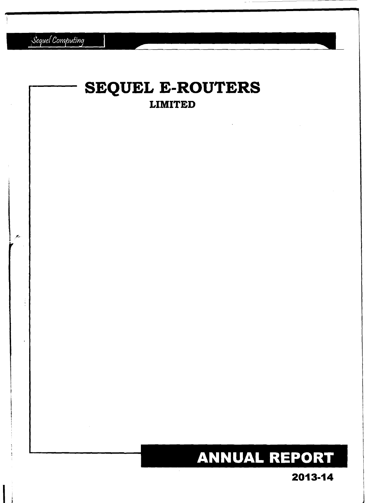Sequel Computing

# **SEQUEL E-ROUTERS LIMITED** بنجر **ANNUAL REPORT**

2013-14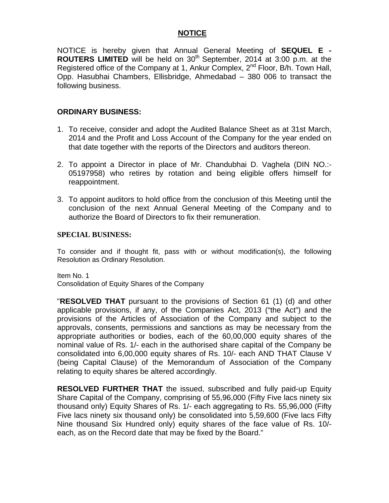# **NOTICE**

NOTICE is hereby given that Annual General Meeting of **SEQUEL E - ROUTERS LIMITED** will be held on 30<sup>th</sup> September, 2014 at 3:00 p.m. at the Registered office of the Company at 1, Ankur Complex, 2<sup>nd</sup> Floor, B/h. Town Hall, Opp. Hasubhai Chambers, Ellisbridge, Ahmedabad – 380 006 to transact the following business.

# **ORDINARY BUSINESS:**

- 1. To receive, consider and adopt the Audited Balance Sheet as at 31st March, 2014 and the Profit and Loss Account of the Company for the year ended on that date together with the reports of the Directors and auditors thereon.
- 2. To appoint a Director in place of Mr. Chandubhai D. Vaghela (DIN NO.:- 05197958) who retires by rotation and being eligible offers himself for reappointment.
- 3. To appoint auditors to hold office from the conclusion of this Meeting until the conclusion of the next Annual General Meeting of the Company and to authorize the Board of Directors to fix their remuneration.

### **SPECIAL BUSINESS:**

To consider and if thought fit, pass with or without modification(s), the following Resolution as Ordinary Resolution.

Item No. 1 Consolidation of Equity Shares of the Company

"**RESOLVED THAT** pursuant to the provisions of Section 61 (1) (d) and other applicable provisions, if any, of the Companies Act, 2013 ("the Act") and the provisions of the Articles of Association of the Company and subject to the approvals, consents, permissions and sanctions as may be necessary from the appropriate authorities or bodies, each of the 60,00,000 equity shares of the nominal value of Rs. 1/- each in the authorised share capital of the Company be consolidated into 6,00,000 equity shares of Rs. 10/- each AND THAT Clause V (being Capital Clause) of the Memorandum of Association of the Company relating to equity shares be altered accordingly.

**RESOLVED FURTHER THAT** the issued, subscribed and fully paid-up Equity Share Capital of the Company, comprising of 55,96,000 (Fifty Five lacs ninety six thousand only) Equity Shares of Rs. 1/- each aggregating to Rs. 55,96,000 (Fifty Five lacs ninety six thousand only) be consolidated into 5,59,600 (Five lacs Fifty Nine thousand Six Hundred only) equity shares of the face value of Rs. 10/ each, as on the Record date that may be fixed by the Board."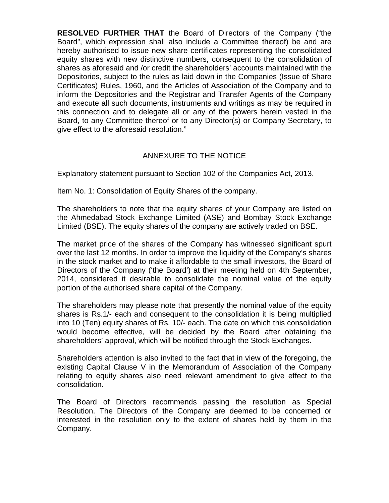**RESOLVED FURTHER THAT** the Board of Directors of the Company ("the Board", which expression shall also include a Committee thereof) be and are hereby authorised to issue new share certificates representing the consolidated equity shares with new distinctive numbers, consequent to the consolidation of shares as aforesaid and /or credit the shareholders' accounts maintained with the Depositories, subject to the rules as laid down in the Companies (Issue of Share Certificates) Rules, 1960, and the Articles of Association of the Company and to inform the Depositories and the Registrar and Transfer Agents of the Company and execute all such documents, instruments and writings as may be required in this connection and to delegate all or any of the powers herein vested in the Board, to any Committee thereof or to any Director(s) or Company Secretary, to give effect to the aforesaid resolution."

# ANNEXURE TO THE NOTICE

Explanatory statement pursuant to Section 102 of the Companies Act, 2013.

Item No. 1: Consolidation of Equity Shares of the company.

The shareholders to note that the equity shares of your Company are listed on the Ahmedabad Stock Exchange Limited (ASE) and Bombay Stock Exchange Limited (BSE). The equity shares of the company are actively traded on BSE.

The market price of the shares of the Company has witnessed significant spurt over the last 12 months. In order to improve the liquidity of the Company's shares in the stock market and to make it affordable to the small investors, the Board of Directors of the Company ('the Board') at their meeting held on 4th September, 2014, considered it desirable to consolidate the nominal value of the equity portion of the authorised share capital of the Company.

The shareholders may please note that presently the nominal value of the equity shares is Rs.1/- each and consequent to the consolidation it is being multiplied into 10 (Ten) equity shares of Rs. 10/- each. The date on which this consolidation would become effective, will be decided by the Board after obtaining the shareholders' approval, which will be notified through the Stock Exchanges.

Shareholders attention is also invited to the fact that in view of the foregoing, the existing Capital Clause V in the Memorandum of Association of the Company relating to equity shares also need relevant amendment to give effect to the consolidation.

The Board of Directors recommends passing the resolution as Special Resolution. The Directors of the Company are deemed to be concerned or interested in the resolution only to the extent of shares held by them in the Company.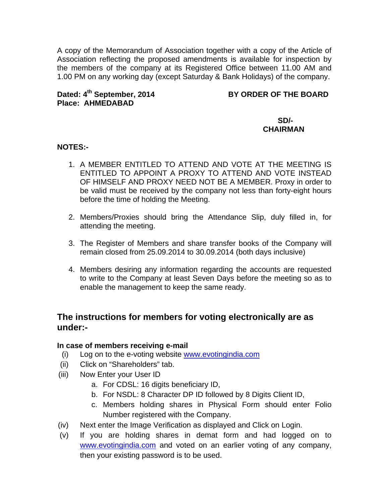A copy of the Memorandum of Association together with a copy of the Article of Association reflecting the proposed amendments is available for inspection by the members of the company at its Registered Office between 11.00 AM and 1.00 PM on any working day (except Saturday & Bank Holidays) of the company.

# **Place: AHMEDABAD**

# Dated: 4<sup>th</sup> September, 2014 BY ORDER OF THE BOARD

# **SD/- CHAIRMAN**

# **NOTES:-**

- 1. A MEMBER ENTITLED TO ATTEND AND VOTE AT THE MEETING IS ENTITLED TO APPOINT A PROXY TO ATTEND AND VOTE INSTEAD OF HIMSELF AND PROXY NEED NOT BE A MEMBER. Proxy in order to be valid must be received by the company not less than forty-eight hours before the time of holding the Meeting.
- 2. Members/Proxies should bring the Attendance Slip, duly filled in, for attending the meeting.
- 3. The Register of Members and share transfer books of the Company will remain closed from 25.09.2014 to 30.09.2014 (both days inclusive)
- 4. Members desiring any information regarding the accounts are requested to write to the Company at least Seven Days before the meeting so as to enable the management to keep the same ready.

# **The instructions for members for voting electronically are as under:-**

# **In case of members receiving e-mail**

- (i) Log on to the e-voting website www.evotingindia.com
- (ii) Click on "Shareholders" tab.
- (iii) Now Enter your User ID
	- a. For CDSL: 16 digits beneficiary ID,
	- b. For NSDL: 8 Character DP ID followed by 8 Digits Client ID,
	- c. Members holding shares in Physical Form should enter Folio Number registered with the Company.
- (iv) Next enter the Image Verification as displayed and Click on Login.
- (v) If you are holding shares in demat form and had logged on to www.evotingindia.com and voted on an earlier voting of any company, then your existing password is to be used.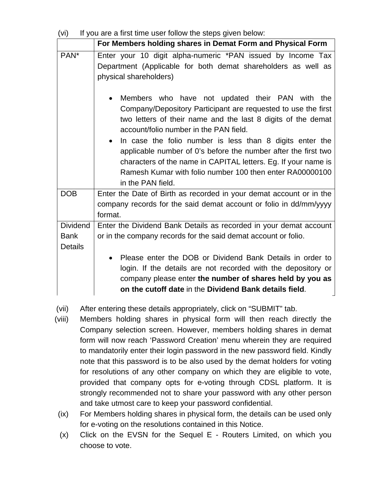| If you are a first time user follow the steps given below:<br>(vi) |                                                                                                                                                                                                                                                                                                                                                                                                                                                                                                                                       |  |  |  |  |  |  |  |  |
|--------------------------------------------------------------------|---------------------------------------------------------------------------------------------------------------------------------------------------------------------------------------------------------------------------------------------------------------------------------------------------------------------------------------------------------------------------------------------------------------------------------------------------------------------------------------------------------------------------------------|--|--|--|--|--|--|--|--|
|                                                                    | For Members holding shares in Demat Form and Physical Form                                                                                                                                                                                                                                                                                                                                                                                                                                                                            |  |  |  |  |  |  |  |  |
| PAN <sup>*</sup>                                                   | Enter your 10 digit alpha-numeric *PAN issued by Income Tax<br>Department (Applicable for both demat shareholders as well as<br>physical shareholders)                                                                                                                                                                                                                                                                                                                                                                                |  |  |  |  |  |  |  |  |
|                                                                    | Members who have not updated their PAN with the<br>$\bullet$<br>Company/Depository Participant are requested to use the first<br>two letters of their name and the last 8 digits of the demat<br>account/folio number in the PAN field.<br>In case the folio number is less than 8 digits enter the<br>$\bullet$<br>applicable number of 0's before the number after the first two<br>characters of the name in CAPITAL letters. Eg. If your name is<br>Ramesh Kumar with folio number 100 then enter RA00000100<br>in the PAN field. |  |  |  |  |  |  |  |  |
| <b>DOB</b>                                                         | Enter the Date of Birth as recorded in your demat account or in the<br>company records for the said demat account or folio in dd/mm/yyyy<br>format.                                                                                                                                                                                                                                                                                                                                                                                   |  |  |  |  |  |  |  |  |
| <b>Dividend</b>                                                    | Enter the Dividend Bank Details as recorded in your demat account                                                                                                                                                                                                                                                                                                                                                                                                                                                                     |  |  |  |  |  |  |  |  |
| <b>Bank</b><br><b>Details</b>                                      | or in the company records for the said demat account or folio.                                                                                                                                                                                                                                                                                                                                                                                                                                                                        |  |  |  |  |  |  |  |  |
|                                                                    | Please enter the DOB or Dividend Bank Details in order to<br>$\bullet$<br>login. If the details are not recorded with the depository or<br>company please enter the number of shares held by you as<br>on the cutoff date in the Dividend Bank details field.                                                                                                                                                                                                                                                                         |  |  |  |  |  |  |  |  |

- (vii) After entering these details appropriately, click on "SUBMIT" tab.
- (viii) Members holding shares in physical form will then reach directly the Company selection screen. However, members holding shares in demat form will now reach 'Password Creation' menu wherein they are required to mandatorily enter their login password in the new password field. Kindly note that this password is to be also used by the demat holders for voting for resolutions of any other company on which they are eligible to vote, provided that company opts for e-voting through CDSL platform. It is strongly recommended not to share your password with any other person and take utmost care to keep your password confidential.
- (ix) For Members holding shares in physical form, the details can be used only for e-voting on the resolutions contained in this Notice.
- (x) Click on the EVSN for the Sequel E Routers Limited, on which you choose to vote.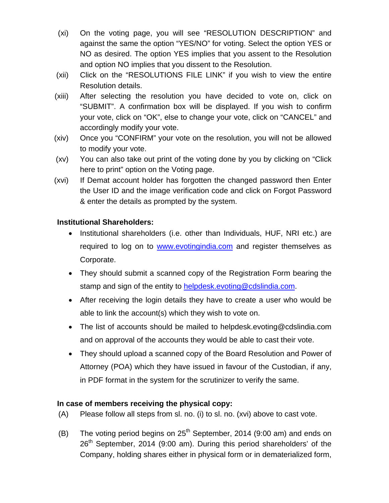- (xi) On the voting page, you will see "RESOLUTION DESCRIPTION" and against the same the option "YES/NO" for voting. Select the option YES or NO as desired. The option YES implies that you assent to the Resolution and option NO implies that you dissent to the Resolution.
- (xii) Click on the "RESOLUTIONS FILE LINK" if you wish to view the entire Resolution details.
- (xiii) After selecting the resolution you have decided to vote on, click on "SUBMIT". A confirmation box will be displayed. If you wish to confirm your vote, click on "OK", else to change your vote, click on "CANCEL" and accordingly modify your vote.
- (xiv) Once you "CONFIRM" your vote on the resolution, you will not be allowed to modify your vote.
- (xv) You can also take out print of the voting done by you by clicking on "Click here to print" option on the Voting page.
- (xvi) If Demat account holder has forgotten the changed password then Enter the User ID and the image verification code and click on Forgot Password & enter the details as prompted by the system.

# **Institutional Shareholders:**

- Institutional shareholders (i.e. other than Individuals, HUF, NRI etc.) are required to log on to www.evotingindia.com and register themselves as Corporate.
- They should submit a scanned copy of the Registration Form bearing the stamp and sign of the entity to helpdesk.evoting@cdslindia.com.
- After receiving the login details they have to create a user who would be able to link the account(s) which they wish to vote on.
- The list of accounts should be mailed to helpdesk.evoting@cdslindia.com and on approval of the accounts they would be able to cast their vote.
- They should upload a scanned copy of the Board Resolution and Power of Attorney (POA) which they have issued in favour of the Custodian, if any, in PDF format in the system for the scrutinizer to verify the same.

# **In case of members receiving the physical copy:**

- (A) Please follow all steps from sl. no. (i) to sl. no. (xvi) above to cast vote.
- (B) The voting period begins on  $25<sup>th</sup>$  September, 2014 (9:00 am) and ends on  $26<sup>th</sup>$  September, 2014 (9:00 am). During this period shareholders' of the Company, holding shares either in physical form or in dematerialized form,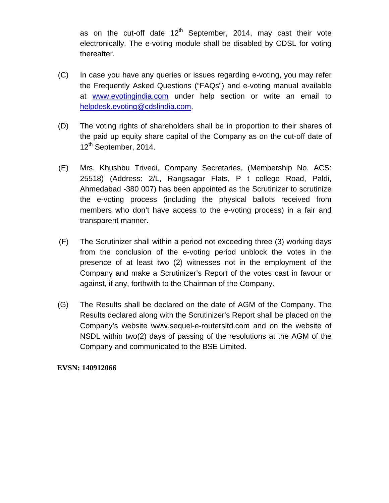as on the cut-off date  $12<sup>th</sup>$  September, 2014, may cast their vote electronically. The e-voting module shall be disabled by CDSL for voting thereafter.

- (C) In case you have any queries or issues regarding e-voting, you may refer the Frequently Asked Questions ("FAQs") and e-voting manual available at www.evotingindia.com under help section or write an email to helpdesk.evoting@cdslindia.com.
- (D) The voting rights of shareholders shall be in proportion to their shares of the paid up equity share capital of the Company as on the cut-off date of 12<sup>th</sup> September, 2014.
- (E) Mrs. Khushbu Trivedi, Company Secretaries, (Membership No. ACS: 25518) (Address: 2/L, Rangsagar Flats, P t college Road, Paldi, Ahmedabad -380 007) has been appointed as the Scrutinizer to scrutinize the e-voting process (including the physical ballots received from members who don't have access to the e-voting process) in a fair and transparent manner.
- (F) The Scrutinizer shall within a period not exceeding three (3) working days from the conclusion of the e-voting period unblock the votes in the presence of at least two (2) witnesses not in the employment of the Company and make a Scrutinizer's Report of the votes cast in favour or against, if any, forthwith to the Chairman of the Company.
- (G) The Results shall be declared on the date of AGM of the Company. The Results declared along with the Scrutinizer's Report shall be placed on the Company's website www.sequel-e-routersltd.com and on the website of NSDL within two(2) days of passing of the resolutions at the AGM of the Company and communicated to the BSE Limited.

### **EVSN: 140912066**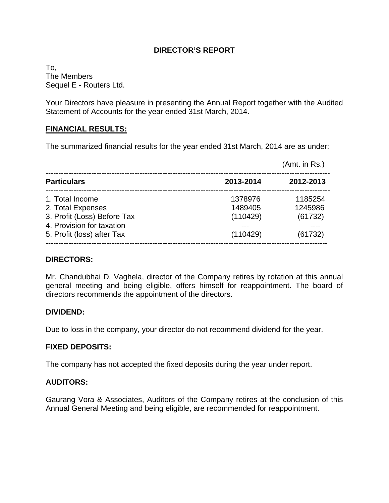# **DIRECTOR'S REPORT**

To, The Members Sequel E - Routers Ltd.

Your Directors have pleasure in presenting the Annual Report together with the Audited Statement of Accounts for the year ended 31st March, 2014.

# **FINANCIAL RESULTS:**

The summarized financial results for the year ended 31st March, 2014 are as under:

|                                                                                                                                |                                            | (Amt. in Rs.)                            |
|--------------------------------------------------------------------------------------------------------------------------------|--------------------------------------------|------------------------------------------|
| <b>Particulars</b>                                                                                                             | 2013-2014                                  | 2012-2013                                |
| 1. Total Income<br>2. Total Expenses<br>3. Profit (Loss) Before Tax<br>4. Provision for taxation<br>5. Profit (loss) after Tax | 1378976<br>1489405<br>(110429)<br>(110429) | 1185254<br>1245986<br>(61732)<br>(61732) |

### **DIRECTORS:**

Mr. Chandubhai D. Vaghela, director of the Company retires by rotation at this annual general meeting and being eligible, offers himself for reappointment. The board of directors recommends the appointment of the directors.

# **DIVIDEND:**

Due to loss in the company, your director do not recommend dividend for the year.

# **FIXED DEPOSITS:**

The company has not accepted the fixed deposits during the year under report.

# **AUDITORS:**

Gaurang Vora & Associates, Auditors of the Company retires at the conclusion of this Annual General Meeting and being eligible, are recommended for reappointment.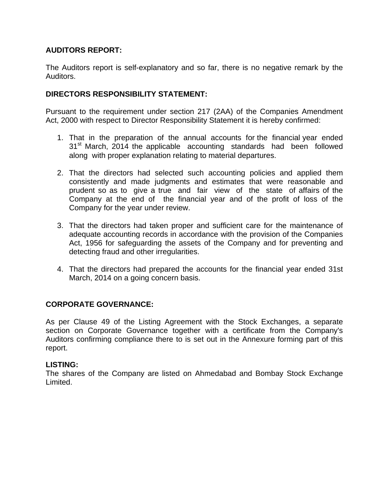# **AUDITORS REPORT:**

The Auditors report is self-explanatory and so far, there is no negative remark by the Auditors.

# **DIRECTORS RESPONSIBILITY STATEMENT:**

Pursuant to the requirement under section 217 (2AA) of the Companies Amendment Act, 2000 with respect to Director Responsibility Statement it is hereby confirmed:

- 1. That in the preparation of the annual accounts for the financial year ended 31<sup>st</sup> March, 2014 the applicable accounting standards had been followed along with proper explanation relating to material departures.
- 2. That the directors had selected such accounting policies and applied them consistently and made judgments and estimates that were reasonable and prudent so as to give a true and fair view of the state of affairs of the Company at the end of the financial year and of the profit of loss of the Company for the year under review.
- 3. That the directors had taken proper and sufficient care for the maintenance of adequate accounting records in accordance with the provision of the Companies Act, 1956 for safeguarding the assets of the Company and for preventing and detecting fraud and other irregularities.
- 4. That the directors had prepared the accounts for the financial year ended 31st March, 2014 on a going concern basis.

# **CORPORATE GOVERNANCE:**

As per Clause 49 of the Listing Agreement with the Stock Exchanges, a separate section on Corporate Governance together with a certificate from the Company's Auditors confirming compliance there to is set out in the Annexure forming part of this report.

# **LISTING:**

The shares of the Company are listed on Ahmedabad and Bombay Stock Exchange Limited.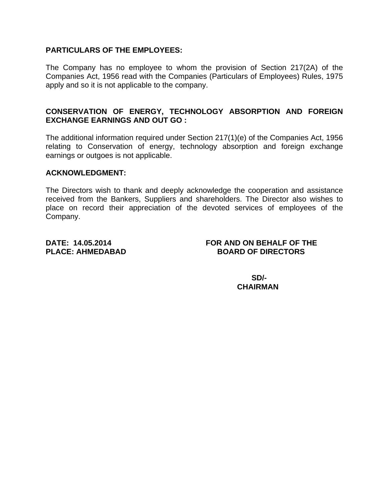# **PARTICULARS OF THE EMPLOYEES:**

The Company has no employee to whom the provision of Section 217(2A) of the Companies Act, 1956 read with the Companies (Particulars of Employees) Rules, 1975 apply and so it is not applicable to the company.

# **CONSERVATION OF ENERGY, TECHNOLOGY ABSORPTION AND FOREIGN EXCHANGE EARNINGS AND OUT GO :**

The additional information required under Section 217(1)(e) of the Companies Act, 1956 relating to Conservation of energy, technology absorption and foreign exchange earnings or outgoes is not applicable.

# **ACKNOWLEDGMENT:**

The Directors wish to thank and deeply acknowledge the cooperation and assistance received from the Bankers, Suppliers and shareholders. The Director also wishes to place on record their appreciation of the devoted services of employees of the Company.

# **DATE: 14.05.2014 FOR AND ON BEHALF OF THE PLACE: AHMEDABAD BOARD OF DIRECTORS**

**SD/-**  $SD$  **CHAIRMAN**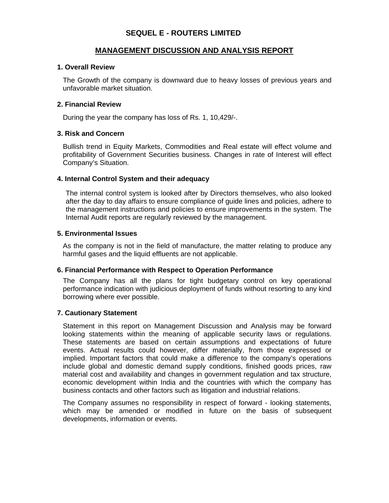# **SEQUEL E - ROUTERS LIMITED**

# **MANAGEMENT DISCUSSION AND ANALYSIS REPORT**

#### **1. Overall Review**

The Growth of the company is downward due to heavy losses of previous years and unfavorable market situation.

#### **2. Financial Review**

During the year the company has loss of Rs. 1, 10,429/-.

#### **3. Risk and Concern**

Bullish trend in Equity Markets, Commodities and Real estate will effect volume and profitability of Government Securities business. Changes in rate of Interest will effect Company's Situation.

# **4. Internal Control System and their adequacy**

The internal control system is looked after by Directors themselves, who also looked after the day to day affairs to ensure compliance of guide lines and policies, adhere to the management instructions and policies to ensure improvements in the system. The Internal Audit reports are regularly reviewed by the management.

#### **5. Environmental Issues**

As the company is not in the field of manufacture, the matter relating to produce any harmful gases and the liquid effluents are not applicable.

#### **6. Financial Performance with Respect to Operation Performance**

The Company has all the plans for tight budgetary control on key operational performance indication with judicious deployment of funds without resorting to any kind borrowing where ever possible.

#### **7. Cautionary Statement**

Statement in this report on Management Discussion and Analysis may be forward looking statements within the meaning of applicable security laws or regulations. These statements are based on certain assumptions and expectations of future events. Actual results could however, differ materially, from those expressed or implied. Important factors that could make a difference to the company's operations include global and domestic demand supply conditions, finished goods prices, raw material cost and availability and changes in government regulation and tax structure, economic development within India and the countries with which the company has business contacts and other factors such as litigation and industrial relations.

The Company assumes no responsibility in respect of forward - looking statements, which may be amended or modified in future on the basis of subsequent developments, information or events.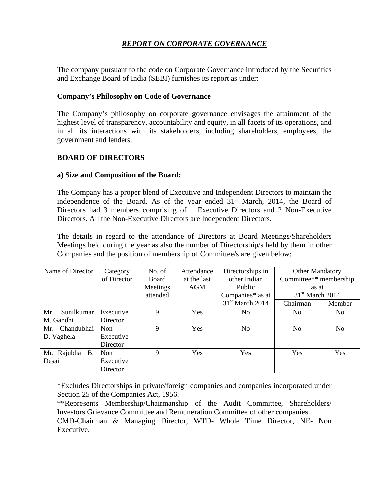# *REPORT ON CORPORATE GOVERNANCE*

The company pursuant to the code on Corporate Governance introduced by the Securities and Exchange Board of India (SEBI) furnishes its report as under:

# **Company's Philosophy on Code of Governance**

The Company's philosophy on corporate governance envisages the attainment of the highest level of transparency, accountability and equity, in all facets of its operations, and in all its interactions with its stakeholders, including shareholders, employees, the government and lenders.

# **BOARD OF DIRECTORS**

### **a) Size and Composition of the Board:**

The Company has a proper blend of Executive and Independent Directors to maintain the independence of the Board. As of the year ended  $31<sup>st</sup>$  March, 2014, the Board of Directors had 3 members comprising of 1 Executive Directors and 2 Non-Executive Directors. All the Non-Executive Directors are Independent Directors.

The details in regard to the attendance of Directors at Board Meetings/Shareholders Meetings held during the year as also the number of Directorship/s held by them in other Companies and the position of membership of Committee/s are given below:

| Name of Director  | Category    | No. of   | Attendance  | Directorships in  | <b>Other Mandatory</b> |            |
|-------------------|-------------|----------|-------------|-------------------|------------------------|------------|
|                   | of Director | Board    | at the last | other Indian      | Committee** membership |            |
|                   |             | Meetings | AGM         | Public            | as at                  |            |
|                   |             | attended |             | Companies* as at  | $31st$ March 2014      |            |
|                   |             |          |             | $31st$ March 2014 | Chairman               | Member     |
| Sunilkumar<br>Mr. | Executive   | 9        | <b>Yes</b>  | No.               | No.                    | No.        |
| M. Gandhi         | Director    |          |             |                   |                        |            |
| Mr. Chandubhai    | Non         | 9        | Yes         | No                | No                     | No         |
| D. Vaghela        | Executive   |          |             |                   |                        |            |
|                   | Director    |          |             |                   |                        |            |
| Mr. Rajubhai B.   | Non         | 9        | <b>Yes</b>  | <b>Yes</b>        | <b>Yes</b>             | <b>Yes</b> |
| Desai             | Executive   |          |             |                   |                        |            |
|                   | Director    |          |             |                   |                        |            |

\*Excludes Directorships in private/foreign companies and companies incorporated under Section 25 of the Companies Act, 1956.

\*\*Represents Membership/Chairmanship of the Audit Committee, Shareholders/ Investors Grievance Committee and Remuneration Committee of other companies. CMD-Chairman & Managing Director, WTD- Whole Time Director, NE- Non Executive.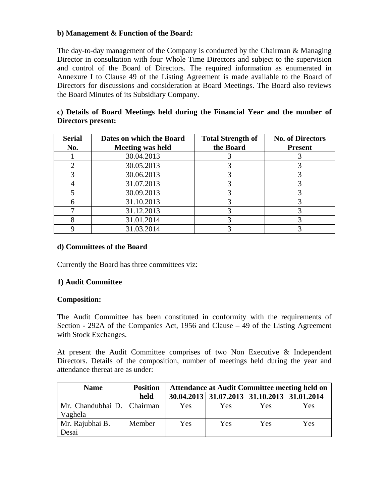# **b) Management & Function of the Board:**

The day-to-day management of the Company is conducted by the Chairman & Managing Director in consultation with four Whole Time Directors and subject to the supervision and control of the Board of Directors. The required information as enumerated in Annexure I to Clause 49 of the Listing Agreement is made available to the Board of Directors for discussions and consideration at Board Meetings. The Board also reviews the Board Minutes of its Subsidiary Company.

# **c) Details of Board Meetings held during the Financial Year and the number of Directors present:**

| <b>Serial</b><br>No. | Dates on which the Board<br><b>Meeting was held</b> | <b>Total Strength of</b><br>the Board | <b>No. of Directors</b><br><b>Present</b> |
|----------------------|-----------------------------------------------------|---------------------------------------|-------------------------------------------|
|                      | 30.04.2013                                          |                                       |                                           |
|                      | 30.05.2013                                          |                                       |                                           |
|                      | 30.06.2013                                          |                                       |                                           |
|                      | 31.07.2013                                          |                                       |                                           |
|                      | 30.09.2013                                          |                                       |                                           |
|                      | 31.10.2013                                          |                                       |                                           |
|                      | 31.12.2013                                          |                                       |                                           |
|                      | 31.01.2014                                          |                                       |                                           |
|                      | 31.03.2014                                          |                                       |                                           |

# **d) Committees of the Board**

Currently the Board has three committees viz:

# **1) Audit Committee**

### **Composition:**

The Audit Committee has been constituted in conformity with the requirements of Section - 292A of the Companies Act, 1956 and Clause – 49 of the Listing Agreement with Stock Exchanges.

At present the Audit Committee comprises of two Non Executive & Independent Directors. Details of the composition, number of meetings held during the year and attendance thereat are as under:

| <b>Name</b>                             | <b>Position</b> | <b>Attendance at Audit Committee meeting held on</b> |                                             |     |     |  |
|-----------------------------------------|-----------------|------------------------------------------------------|---------------------------------------------|-----|-----|--|
|                                         | held            |                                                      | 30.04.2013 31.07.2013 31.10.2013 31.01.2014 |     |     |  |
| Mr. Chandubhai D.   Chairman<br>Vaghela |                 | Yes                                                  | Yes                                         | Yes | Yes |  |
| Mr. Rajubhai B.<br>Desai                | Member          | Yes                                                  | Yes                                         | Yes | Yes |  |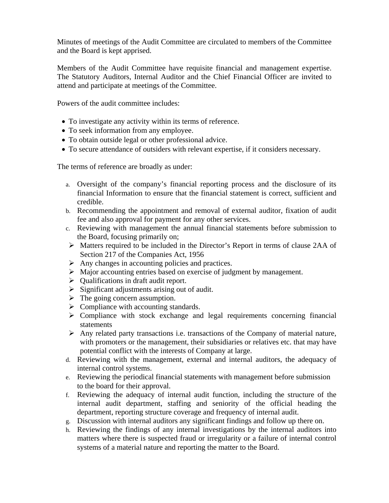Minutes of meetings of the Audit Committee are circulated to members of the Committee and the Board is kept apprised.

Members of the Audit Committee have requisite financial and management expertise. The Statutory Auditors, Internal Auditor and the Chief Financial Officer are invited to attend and participate at meetings of the Committee.

Powers of the audit committee includes:

- To investigate any activity within its terms of reference.
- To seek information from any employee.
- To obtain outside legal or other professional advice.
- To secure attendance of outsiders with relevant expertise, if it considers necessary.

The terms of reference are broadly as under:

- a. Oversight of the company's financial reporting process and the disclosure of its financial Information to ensure that the financial statement is correct, sufficient and credible.
- b. Recommending the appointment and removal of external auditor, fixation of audit fee and also approval for payment for any other services.
- c. Reviewing with management the annual financial statements before submission to the Board, focusing primarily on;
- ¾ Matters required to be included in the Director's Report in terms of clause 2AA of Section 217 of the Companies Act, 1956
- $\triangleright$  Any changes in accounting policies and practices.
- ¾ Major accounting entries based on exercise of judgment by management.
- $\triangleright$  Qualifications in draft audit report.
- $\triangleright$  Significant adjustments arising out of audit.
- $\triangleright$  The going concern assumption.
- $\triangleright$  Compliance with accounting standards.
- $\triangleright$  Compliance with stock exchange and legal requirements concerning financial statements
- $\triangleright$  Any related party transactions i.e. transactions of the Company of material nature, with promoters or the management, their subsidiaries or relatives etc. that may have potential conflict with the interests of Company at large.
- d. Reviewing with the management, external and internal auditors, the adequacy of internal control systems.
- e. Reviewing the periodical financial statements with management before submission to the board for their approval.
- f. Reviewing the adequacy of internal audit function, including the structure of the internal audit department, staffing and seniority of the official heading the department, reporting structure coverage and frequency of internal audit.
- g. Discussion with internal auditors any significant findings and follow up there on.
- h. Reviewing the findings of any internal investigations by the internal auditors into matters where there is suspected fraud or irregularity or a failure of internal control systems of a material nature and reporting the matter to the Board.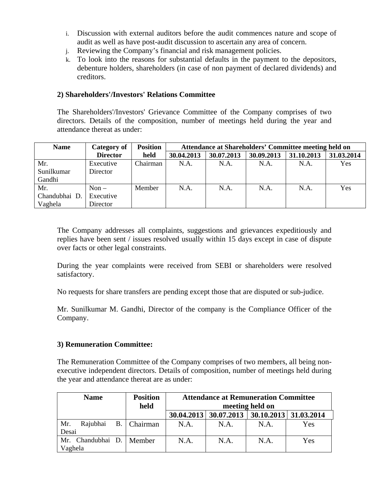- i. Discussion with external auditors before the audit commences nature and scope of audit as well as have post-audit discussion to ascertain any area of concern.
- j. Reviewing the Company's financial and risk management policies.
- k. To look into the reasons for substantial defaults in the payment to the depositors, debenture holders, shareholders (in case of non payment of declared dividends) and creditors.

# **2) Shareholders'/Investors' Relations Committee**

The Shareholders'/Investors' Grievance Committee of the Company comprises of two directors. Details of the composition, number of meetings held during the year and attendance thereat as under:

| <b>Name</b>   | Category of     | <b>Position</b> |            | Attendance at Shareholders' Committee meeting held on |            |            |            |
|---------------|-----------------|-----------------|------------|-------------------------------------------------------|------------|------------|------------|
|               | <b>Director</b> | held            | 30.04.2013 | 30.07.2013                                            | 30.09.2013 | 31.10.2013 | 31.03.2014 |
| Mr.           | Executive       | Chairman        | N.A.       | N.A.                                                  | N.A.       | N.A.       | Yes        |
| Sunilkumar    | Director        |                 |            |                                                       |            |            |            |
| Gandhi        |                 |                 |            |                                                       |            |            |            |
| Mr.           | $Non -$         | Member          | N.A.       | N.A.                                                  | N.A.       | N.A.       | Yes        |
| Chandubhai D. | Executive       |                 |            |                                                       |            |            |            |
| Vaghela       | Director        |                 |            |                                                       |            |            |            |

The Company addresses all complaints, suggestions and grievances expeditiously and replies have been sent / issues resolved usually within 15 days except in case of dispute over facts or other legal constraints.

During the year complaints were received from SEBI or shareholders were resolved satisfactory.

No requests for share transfers are pending except those that are disputed or sub-judice.

Mr. Sunilkumar M. Gandhi, Director of the company is the Compliance Officer of the Company.

### **3) Remuneration Committee:**

The Remuneration Committee of the Company comprises of two members, all being nonexecutive independent directors. Details of composition, number of meetings held during the year and attendance thereat are as under:

|         | <b>Name</b>                | <b>Position</b><br>held | <b>Attendance at Remuneration Committee</b><br>meeting held on |                         |                       |     |
|---------|----------------------------|-------------------------|----------------------------------------------------------------|-------------------------|-----------------------|-----|
|         |                            |                         |                                                                | 30.04.2013   30.07.2013 | 30.10.2013 31.03.2014 |     |
| Mr.     | Rajubhai                   | B.   Chairman           | N.A.                                                           | N.A.                    | N.A.                  | Yes |
| Desai   |                            |                         |                                                                |                         |                       |     |
|         | Mr. Chandubhai D.   Member |                         | N.A.                                                           | N.A.                    | N.A.                  | Yes |
| Vaghela |                            |                         |                                                                |                         |                       |     |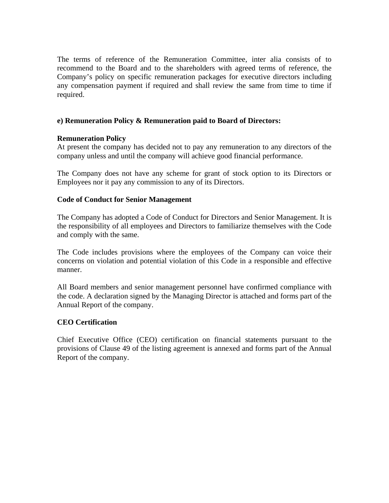The terms of reference of the Remuneration Committee, inter alia consists of to recommend to the Board and to the shareholders with agreed terms of reference, the Company's policy on specific remuneration packages for executive directors including any compensation payment if required and shall review the same from time to time if required.

# **e) Remuneration Policy & Remuneration paid to Board of Directors:**

### **Remuneration Policy**

At present the company has decided not to pay any remuneration to any directors of the company unless and until the company will achieve good financial performance.

The Company does not have any scheme for grant of stock option to its Directors or Employees nor it pay any commission to any of its Directors.

# **Code of Conduct for Senior Management**

The Company has adopted a Code of Conduct for Directors and Senior Management. It is the responsibility of all employees and Directors to familiarize themselves with the Code and comply with the same.

The Code includes provisions where the employees of the Company can voice their concerns on violation and potential violation of this Code in a responsible and effective manner.

All Board members and senior management personnel have confirmed compliance with the code. A declaration signed by the Managing Director is attached and forms part of the Annual Report of the company.

### **CEO Certification**

Chief Executive Office (CEO) certification on financial statements pursuant to the provisions of Clause 49 of the listing agreement is annexed and forms part of the Annual Report of the company.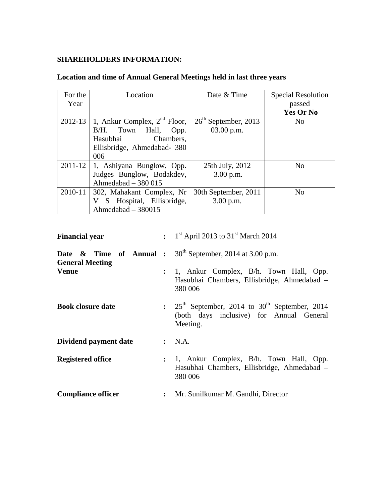# **SHAREHOLDERS INFORMATION:**

| For the     | Location                          | Date & Time            | <b>Special Resolution</b> |
|-------------|-----------------------------------|------------------------|---------------------------|
| Year        |                                   |                        | passed                    |
|             |                                   |                        | Yes Or No                 |
| 2012-13     | 1, Ankur Complex, $2^{nd}$ Floor, | $26th$ September, 2013 | N <sub>0</sub>            |
|             | Hall,<br>B/H.<br>Town<br>Opp.     | $03.00$ p.m.           |                           |
|             | Hasubhai<br>Chambers.             |                        |                           |
|             | Ellisbridge, Ahmedabad- 380       |                        |                           |
|             | 006                               |                        |                           |
| $2011 - 12$ | 1, Ashiyana Bunglow, Opp.         | 25th July, 2012        | N <sub>0</sub>            |
|             | Judges Bunglow, Bodakdev,         | $3.00$ p.m.            |                           |
|             | Ahmedabad $-380015$               |                        |                           |
| 2010-11     | 302, Mahakant Complex, Nr         | 30th September, 2011   | N <sub>0</sub>            |
|             | S Hospital, Ellisbridge,<br>V     | 3.00 p.m.              |                           |
|             | Ahmedabad - 380015                |                        |                           |

# **Location and time of Annual General Meetings held in last three years**

| <b>Financial year</b>     |                | : $1^{st}$ April 2013 to 31 <sup>st</sup> March 2014                                                                                      |
|---------------------------|----------------|-------------------------------------------------------------------------------------------------------------------------------------------|
| <b>General Meeting</b>    |                | <b>Date</b> & Time of Annual : $30^{\text{th}}$ September, 2014 at 3.00 p.m.                                                              |
| <b>Venue</b>              |                | : 1, Ankur Complex, B/h. Town Hall, Opp.<br>Hasubhai Chambers, Ellisbridge, Ahmedabad –<br>380 006                                        |
| <b>Book closure date</b>  |                | $\therefore$ 25 <sup>th</sup> September, 2014 to 30 <sup>th</sup> September, 2014<br>(both days inclusive) for Annual General<br>Meeting. |
| Dividend payment date     |                | : N.A.                                                                                                                                    |
| <b>Registered office</b>  | $\ddot{\cdot}$ | 1, Ankur Complex, B/h. Town Hall, Opp.<br>Hasubhai Chambers, Ellisbridge, Ahmedabad -<br>380 006                                          |
| <b>Compliance officer</b> |                | : Mr. Sunilkumar M. Gandhi, Director                                                                                                      |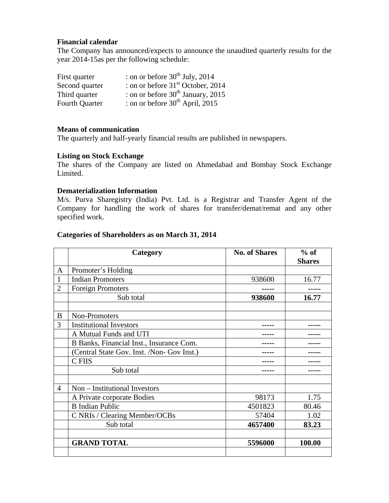#### **Financial calendar**

The Company has announced/expects to announce the unaudited quarterly results for the year 2014-15as per the following schedule:

| First quarter         | : on or before $30^{th}$ July, 2014           |
|-----------------------|-----------------------------------------------|
| Second quarter        | : on or before 31 <sup>st</sup> October, 2014 |
| Third quarter         | : on or before $30th$ January, 2015           |
| <b>Fourth Quarter</b> | : on or before $30^{th}$ April, 2015          |

### **Means of communication**

The quarterly and half-yearly financial results are published in newspapers.

### **Listing on Stock Exchange**

The shares of the Company are listed on Ahmedabad and Bombay Stock Exchange Limited.

#### **Dematerialization Information**

M/s. Purva Sharegistry (India) Pvt. Ltd. is a Registrar and Transfer Agent of the Company for handling the work of shares for transfer/demat/remat and any other specified work.

#### **Categories of Shareholders as on March 31, 2014**

|                | Category                                   | <b>No. of Shares</b> | $%$ of<br><b>Shares</b> |
|----------------|--------------------------------------------|----------------------|-------------------------|
| A              | Promoter's Holding                         |                      |                         |
| 1              | <b>Indian Promoters</b>                    | 938600               | 16.77                   |
| $\overline{2}$ | <b>Foreign Promoters</b>                   |                      |                         |
|                | Sub total                                  | 938600               | 16.77                   |
| B              | Non-Promoters                              |                      |                         |
| 3              | <b>Institutional Investors</b>             |                      |                         |
|                | A Mutual Funds and UTI                     |                      |                         |
|                | B Banks, Financial Inst., Insurance Com.   |                      |                         |
|                | (Central State Gov. Inst. /Non- Gov Inst.) |                      |                         |
|                | C FIIS                                     |                      |                         |
|                | Sub total                                  |                      |                         |
| $\overline{4}$ | Non – Institutional Investors              |                      |                         |
|                | A Private corporate Bodies                 | 98173                | 1.75                    |
|                | <b>B</b> Indian Public                     | 4501823              | 80.46                   |
|                | C NRIs / Clearing Member/OCBs              | 57404                | 1.02                    |
|                | Sub total                                  | 4657400              | 83.23                   |
|                | <b>GRAND TOTAL</b>                         | 5596000              | 100.00                  |
|                |                                            |                      |                         |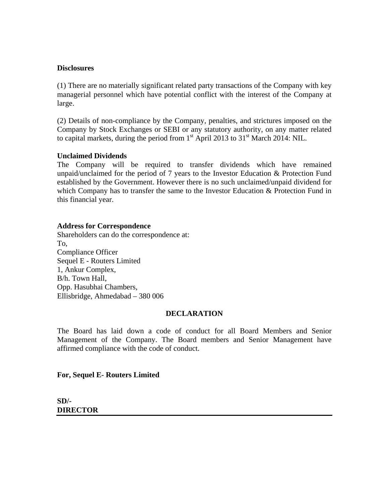#### **Disclosures**

(1) There are no materially significant related party transactions of the Company with key managerial personnel which have potential conflict with the interest of the Company at large.

(2) Details of non-compliance by the Company, penalties, and strictures imposed on the Company by Stock Exchanges or SEBI or any statutory authority, on any matter related to capital markets, during the period from  $1<sup>st</sup>$  April 2013 to  $31<sup>st</sup>$  March 2014: NIL.

### **Unclaimed Dividends**

The Company will be required to transfer dividends which have remained unpaid/unclaimed for the period of 7 years to the Investor Education & Protection Fund established by the Government. However there is no such unclaimed/unpaid dividend for which Company has to transfer the same to the Investor Education & Protection Fund in this financial year.

#### **Address for Correspondence**

Shareholders can do the correspondence at: To, Compliance Officer Sequel E - Routers Limited 1, Ankur Complex, B/h. Town Hall, Opp. Hasubhai Chambers, Ellisbridge, Ahmedabad – 380 006

#### **DECLARATION**

The Board has laid down a code of conduct for all Board Members and Senior Management of the Company. The Board members and Senior Management have affirmed compliance with the code of conduct.

#### **For, Sequel E- Routers Limited**

#### **SD/- DIRECTOR**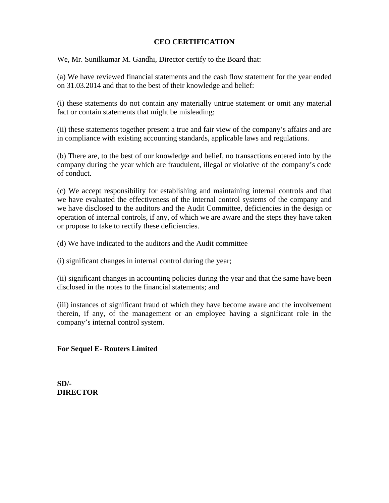# **CEO CERTIFICATION**

We, Mr. Sunilkumar M. Gandhi, Director certify to the Board that:

(a) We have reviewed financial statements and the cash flow statement for the year ended on 31.03.2014 and that to the best of their knowledge and belief:

(i) these statements do not contain any materially untrue statement or omit any material fact or contain statements that might be misleading;

(ii) these statements together present a true and fair view of the company's affairs and are in compliance with existing accounting standards, applicable laws and regulations.

(b) There are, to the best of our knowledge and belief, no transactions entered into by the company during the year which are fraudulent, illegal or violative of the company's code of conduct.

(c) We accept responsibility for establishing and maintaining internal controls and that we have evaluated the effectiveness of the internal control systems of the company and we have disclosed to the auditors and the Audit Committee, deficiencies in the design or operation of internal controls, if any, of which we are aware and the steps they have taken or propose to take to rectify these deficiencies.

(d) We have indicated to the auditors and the Audit committee

(i) significant changes in internal control during the year;

(ii) significant changes in accounting policies during the year and that the same have been disclosed in the notes to the financial statements; and

(iii) instances of significant fraud of which they have become aware and the involvement therein, if any, of the management or an employee having a significant role in the company's internal control system.

# **For Sequel E- Routers Limited**

**SD/- DIRECTOR**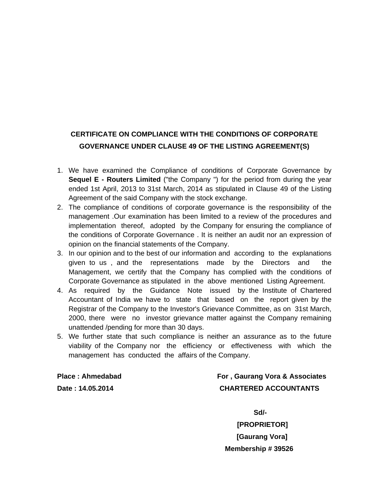# **CERTIFICATE ON COMPLIANCE WITH THE CONDITIONS OF CORPORATE GOVERNANCE UNDER CLAUSE 49 OF THE LISTING AGREEMENT(S)**

- 1. We have examined the Compliance of conditions of Corporate Governance by **Sequel E - Routers Limited** ("the Company ") for the period from during the year ended 1st April, 2013 to 31st March, 2014 as stipulated in Clause 49 of the Listing Agreement of the said Company with the stock exchange.
- 2. The compliance of conditions of corporate governance is the responsibility of the management .Our examination has been limited to a review of the procedures and implementation thereof, adopted by the Company for ensuring the compliance of the conditions of Corporate Governance . It is neither an audit nor an expression of opinion on the financial statements of the Company.
- 3. In our opinion and to the best of our information and according to the explanations given to us , and the representations made by the Directors and the Management, we certify that the Company has complied with the conditions of Corporate Governance as stipulated in the above mentioned Listing Agreement.
- 4. As required by the Guidance Note issued by the Institute of Chartered Accountant of India we have to state that based on the report given by the Registrar of the Company to the Investor's Grievance Committee, as on 31st March, 2000, there were no investor grievance matter against the Company remaining unattended /pending for more than 30 days.
- 5. We further state that such compliance is neither an assurance as to the future viability of the Company nor the efficiency or effectiveness with which the management has conducted the affairs of the Company.

**Place : Ahmedabad For , Gaurang Vora & Associates Date : 14.05.2014 CHARTERED ACCOUNTANTS** 

**Sd/-**  $S$ d/-

 **[PROPRIETOR] [Gaurang Vora] Membership # 39526**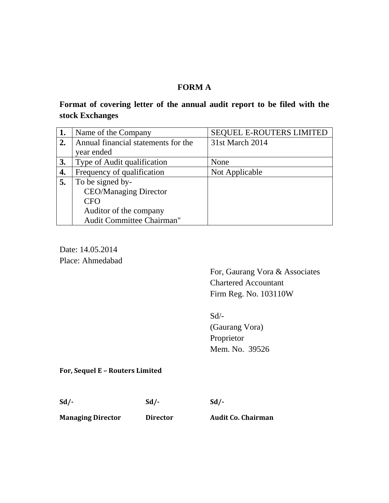# **FORM A**

# **Format of covering letter of the annual audit report to be filed with the stock Exchanges**

| 1. | Name of the Company                 | <b>SEQUEL E-ROUTERS LIMITED</b> |
|----|-------------------------------------|---------------------------------|
| 2. | Annual financial statements for the | 31st March 2014                 |
|    | year ended                          |                                 |
| 3. | Type of Audit qualification         | None                            |
| 4. | Frequency of qualification          | Not Applicable                  |
| 5. | To be signed by-                    |                                 |
|    | <b>CEO/Managing Director</b>        |                                 |
|    | <b>CFO</b>                          |                                 |
|    | Auditor of the company              |                                 |
|    | Audit Committee Chairman"           |                                 |

Date: 14.05.2014 Place: Ahmedabad

> For, Gaurang Vora & Associates Chartered Accountant Firm Reg. No. 103110W

Sd/- (Gaurang Vora) Proprietor Mem. No. 39526

**For, Sequel E – Routers Limited**

**Sd/‐ Sd/‐ Sd/‐** 

**Managing Director Director Audit Co. Chairman**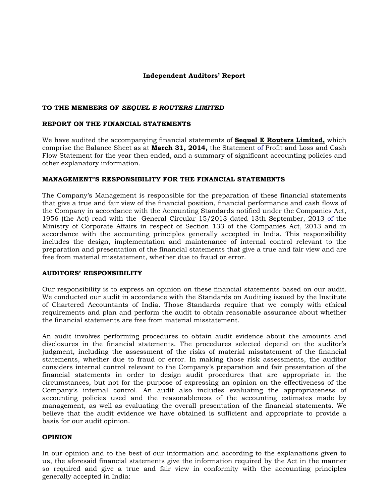#### **Independent Auditors' Report**

#### **TO THE MEMBERS OF** *SEQUEL E ROUTERS LIMITED*

#### **REPORT ON THE FINANCIAL STATEMENTS**

We have audited the accompanying financial statements of **Sequel E Routers Limited,** which comprise the Balance Sheet as at **March 31, 2014,** the Statement of Profit and Loss and Cash Flow Statement for the year then ended, and a summary of significant accounting policies and other explanatory information.

#### **MANAGEMENT'S RESPONSIBILITY FOR THE FINANCIAL STATEMENTS**

The Company's Management is responsible for the preparation of these financial statements that give a true and fair view of the financial position, financial performance and cash flows of the Company in accordance with the Accounting Standards notified under the Companies Act, 1956 (the Act) read with the General Circular 15/2013 dated 13th September, 2013 of the Ministry of Corporate Affairs in respect of Section 133 of the Companies Act, 2013 and in accordance with the accounting principles generally accepted in India. This responsibility includes the design, implementation and maintenance of internal control relevant to the preparation and presentation of the financial statements that give a true and fair view and are free from material misstatement, whether due to fraud or error.

#### **AUDITORS' RESPONSIBILITY**

Our responsibility is to express an opinion on these financial statements based on our audit. We conducted our audit in accordance with the Standards on Auditing issued by the Institute of Chartered Accountants of India. Those Standards require that we comply with ethical requirements and plan and perform the audit to obtain reasonable assurance about whether the financial statements are free from material misstatement.

An audit involves performing procedures to obtain audit evidence about the amounts and disclosures in the financial statements. The procedures selected depend on the auditor's judgment, including the assessment of the risks of material misstatement of the financial statements, whether due to fraud or error. In making those risk assessments, the auditor considers internal control relevant to the Company's preparation and fair presentation of the financial statements in order to design audit procedures that are appropriate in the circumstances, but not for the purpose of expressing an opinion on the effectiveness of the Company's internal control. An audit also includes evaluating the appropriateness of accounting policies used and the reasonableness of the accounting estimates made by management, as well as evaluating the overall presentation of the financial statements. We believe that the audit evidence we have obtained is sufficient and appropriate to provide a basis for our audit opinion.

#### **OPINION**

In our opinion and to the best of our information and according to the explanations given to us, the aforesaid financial statements give the information required by the Act in the manner so required and give a true and fair view in conformity with the accounting principles generally accepted in India: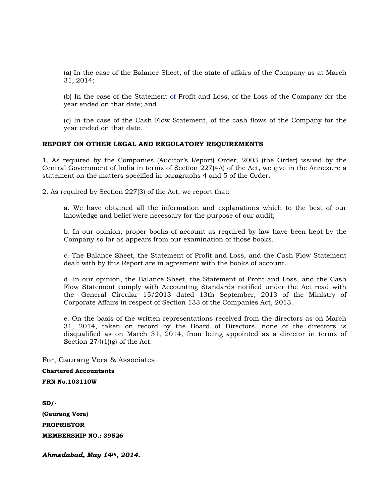(a) In the case of the Balance Sheet, of the state of affairs of the Company as at March 31, 2014;

(b) In the case of the Statement of Profit and Loss, of the Loss of the Company for the year ended on that date; and

(c) In the case of the Cash Flow Statement, of the cash flows of the Company for the year ended on that date.

#### **REPORT ON OTHER LEGAL AND REGULATORY REQUIREMENTS**

1. As required by the Companies (Auditor's Report) Order, 2003 (the Order) issued by the Central Government of India in terms of Section 227(4A) of the Act, we give in the Annexure a statement on the matters specified in paragraphs 4 and 5 of the Order.

2. As required by Section 227(3) of the Act, we report that:

a. We have obtained all the information and explanations which to the best of our knowledge and belief were necessary for the purpose of our audit;

b. In our opinion, proper books of account as required by law have been kept by the Company so far as appears from our examination of those books.

c. The Balance Sheet, the Statement of Profit and Loss, and the Cash Flow Statement dealt with by this Report are in agreement with the books of account.

d. In our opinion, the Balance Sheet, the Statement of Profit and Loss, and the Cash Flow Statement comply with Accounting Standards notified under the Act read with the General Circular 15/2013 dated 13th September, 2013 of the Ministry of Corporate Affairs in respect of Section 133 of the Companies Act, 2013.

e. On the basis of the written representations received from the directors as on March 31, 2014, taken on record by the Board of Directors, none of the directors is disqualified as on March 31, 2014, from being appointed as a director in terms of Section 274(1)(g) of the Act.

For, Gaurang Vora & Associates

**Chartered Accountants** 

**FRN No.103110W** 

**SD/-** 

**(Gaurang Vora) PROPRIETOR MEMBERSHIP NO.: 39526** 

*Ahmedabad, May 14th, 2014.*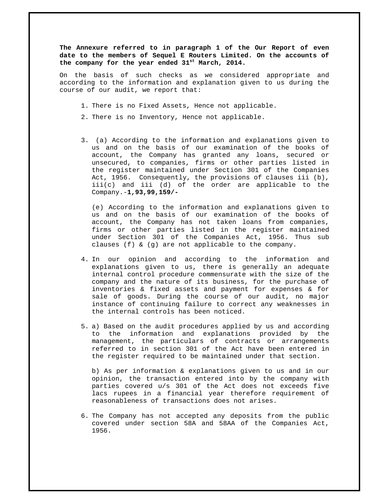**The Annexure referred to in paragraph 1 of the Our Report of even date to the members of Sequel E Routers Limited. On the accounts of the company for the year ended 31st March, 2014.** 

On the basis of such checks as we considered appropriate and according to the information and explanation given to us during the course of our audit, we report that:

- 1. There is no Fixed Assets, Hence not applicable.
- 2. There is no Inventory, Hence not applicable.
- 3. (a) According to the information and explanations given to us and on the basis of our examination of the books of account, the Company has granted any loans, secured or unsecured, to companies, firms or other parties listed in the register maintained under Section 301 of the Companies Act, 1956. Consequently, the provisions of clauses iii (b), iii(c) and iii (d) of the order are applicable to the Company.-**1,93,99,159/-**

(e) According to the information and explanations given to us and on the basis of our examination of the books of account, the Company has not taken loans from companies, firms or other parties listed in the register maintained under Section 301 of the Companies Act, 1956. Thus sub clauses (f) & (g) are not applicable to the company.

- 4. In our opinion and according to the information and explanations given to us, there is generally an adequate internal control procedure commensurate with the size of the company and the nature of its business, for the purchase of inventories & fixed assets and payment for expenses & for sale of goods. During the course of our audit, no major instance of continuing failure to correct any weaknesses in the internal controls has been noticed.
- 5. a) Based on the audit procedures applied by us and according to the information and explanations provided by the management, the particulars of contracts or arrangements referred to in section 301 of the Act have been entered in the register required to be maintained under that section.

b) As per information & explanations given to us and in our opinion, the transaction entered into by the company with parties covered u/s 301 of the Act does not exceeds five lacs rupees in a financial year therefore requirement of reasonableness of transactions does not arises.

6. The Company has not accepted any deposits from the public covered under section 58A and 58AA of the Companies Act, 1956.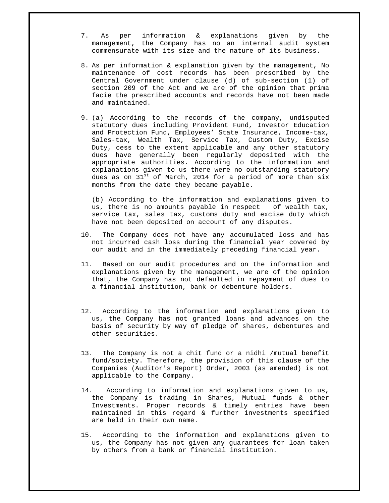- 7. As per information & explanations given by the management, the Company has no an internal audit system commensurate with its size and the nature of its business.
- 8. As per information & explanation given by the management, No maintenance of cost records has been prescribed by the Central Government under clause (d) of sub-section (1) of section 209 of the Act and we are of the opinion that prima facie the prescribed accounts and records have not been made and maintained.
- 9. (a) According to the records of the company, undisputed statutory dues including Provident Fund, Investor Education and Protection Fund, Employees' State Insurance, Income-tax, Sales-tax, Wealth Tax, Service Tax, Custom Duty, Excise Duty, cess to the extent applicable and any other statutory dues have generally been regularly deposited with the appropriate authorities. According to the information and explanations given to us there were no outstanding statutory dues as on  $31<sup>st</sup>$  of March, 2014 for a period of more than  $six$ months from the date they became payable.

(b) According to the information and explanations given to us, there is no amounts payable in respect of wealth tax, service tax, sales tax, customs duty and excise duty which have not been deposited on account of any disputes.

- 10. The Company does not have any accumulated loss and has not incurred cash loss during the financial year covered by our audit and in the immediately preceding financial year.
- 11. Based on our audit procedures and on the information and explanations given by the management, we are of the opinion that, the Company has not defaulted in repayment of dues to a financial institution, bank or debenture holders.
- 12. According to the information and explanations given to us, the Company has not granted loans and advances on the basis of security by way of pledge of shares, debentures and other securities.
- 13. The Company is not a chit fund or a nidhi /mutual benefit fund/society. Therefore, the provision of this clause of the Companies (Auditor's Report) Order, 2003 (as amended) is not applicable to the Company.
- 14. According to information and explanations given to us, the Company is trading in Shares, Mutual funds & other Investments. Proper records & timely entries have been maintained in this regard & further investments specified are held in their own name.
- 15. According to the information and explanations given to us, the Company has not given any guarantees for loan taken by others from a bank or financial institution.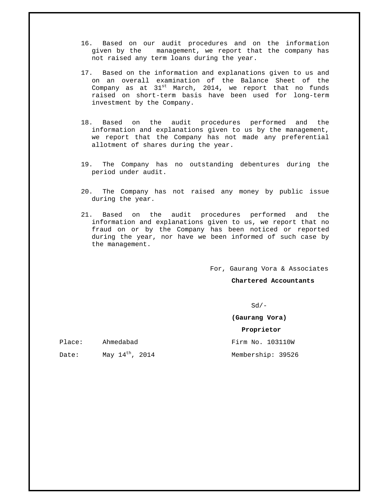- 16. Based on our audit procedures and on the information given by the management, we report that the company has not raised any term loans during the year.
- 17. Based on the information and explanations given to us and on an overall examination of the Balance Sheet of the Company as at  $31^{st}$  March, 2014, we report that no funds raised on short-term basis have been used for long-term investment by the Company.
- 18. Based on the audit procedures performed and the information and explanations given to us by the management, we report that the Company has not made any preferential allotment of shares during the year.
- 19. The Company has no outstanding debentures during the period under audit.
- 20. The Company has not raised any money by public issue during the year.
- 21. Based on the audit procedures performed and the information and explanations given to us, we report that no fraud on or by the Company has been noticed or reported during the year, nor have we been informed of such case by the management.

For, Gaurang Vora & Associates

**Chartered Accountants** 

 $Sd/-$ 

**(Gaurang Vora)**

 **Proprietor**

| Place: | Ahmedabad                   | Firm No. 103110W  |
|--------|-----------------------------|-------------------|
| Date:  | May $14^{\text{th}}$ , 2014 | Membership: 39526 |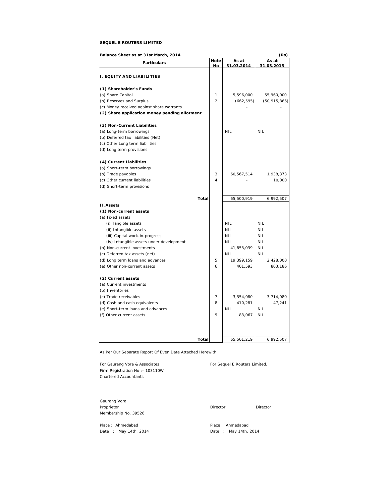#### **SEQUEL E ROUTERS LIMITED**

| Balance Sheet as at 31st March, 2014          |                |            | (Rs)                |
|-----------------------------------------------|----------------|------------|---------------------|
| <b>Particulars</b>                            | <b>Note</b>    | As at      | As at<br>31.03.2013 |
|                                               | No.            | 31.03.2014 |                     |
| <b>I. EQUITY AND LIABILITIES</b>              |                |            |                     |
| (1) Shareholder's Funds                       |                |            |                     |
| (a) Share Capital                             | 1              | 5,596,000  | 55,960,000          |
| (b) Reserves and Surplus                      | $\overline{2}$ | (662, 595) | (50, 915, 866)      |
| (c) Money received against share warrants     |                |            |                     |
| (2) Share application money pending allotment |                |            |                     |
| (3) Non-Current Liabilities                   |                |            |                     |
| (a) Long-term borrowings                      |                | <b>NIL</b> | <b>NIL</b>          |
| (b) Deferred tax liabilities (Net)            |                |            |                     |
| (c) Other Long term liabilities               |                |            |                     |
| (d) Long term provisions                      |                |            |                     |
| (4) Current Liabilities                       |                |            |                     |
| (a) Short-term borrowings                     |                |            |                     |
| (b) Trade payables                            | 3              | 60,567,514 | 1,938,373           |
| (c) Other current liabilities                 | 4              |            | 10,000              |
| (d) Short-term provisions                     |                |            |                     |
| Total                                         |                | 65,500,919 | 6,992,507           |
| <b>II.Assets</b>                              |                |            |                     |
| (1) Non-current assets                        |                |            |                     |
| (a) Fixed assets                              |                |            |                     |
| (i) Tangible assets                           |                | <b>NIL</b> | <b>NIL</b>          |
| (ii) Intangible assets                        |                | <b>NIL</b> | <b>NIL</b>          |
| (iii) Capital work-in-progress                |                | <b>NIL</b> | <b>NIL</b>          |
| (iv) Intangible assets under development      |                | <b>NIL</b> | <b>NIL</b>          |
| (b) Non-current investments                   |                | 41,853,039 | <b>NIL</b>          |
| (c) Deferred tax assets (net)                 |                | <b>NIL</b> | <b>NIL</b>          |
| (d) Long term loans and advances              | 5              | 19,399,159 | 2,428,000           |
| (e) Other non-current assets                  | 6              | 401,593    | 803,186             |
| (2) Current assets                            |                |            |                     |
| (a) Current investments                       |                |            |                     |
| (b) Inventories                               |                |            |                     |
| (c) Trade receivables                         | 7              | 3,354,080  | 3,714,080           |
| (d) Cash and cash equivalents                 | 8              | 410,281    | 47,241              |
| (e) Short-term loans and advances             |                | <b>NIL</b> | <b>NIL</b>          |
| (f) Other current assets                      | 9              | 83,067     | <b>NIL</b>          |
|                                               |                |            |                     |
|                                               |                |            |                     |
| Total                                         |                | 65,501,219 | 6,992,507           |

As Per Our Separate Report Of Even Date Attached Herewith

For Gaurang Vora & Associates For Sequel E Routers Limited. Firm Registration No :- 103110W Chartered Accountants

Gaurang Vora Proprietor Director Director Director Director Membership No. 39526

Place : Ahmedabad<br>
Place : May 14th, 2014<br>
Date : May 14th, 2014

Date : May 14th, 2014 **Date** : May 14th, 2014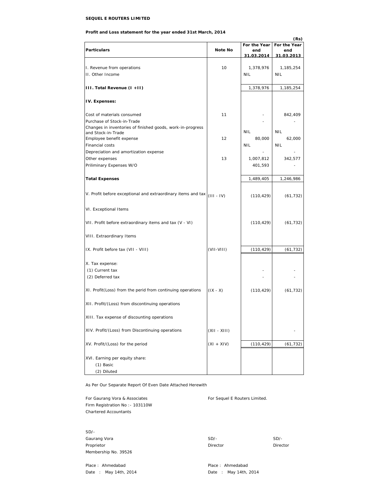#### **SEQUEL E ROUTERS LIMITED**

#### **Profit and Loss statement for the year ended 31st March, 2014**

|                                                              |              |                   | (Rs)              |
|--------------------------------------------------------------|--------------|-------------------|-------------------|
|                                                              |              | For the Year      | For the Year      |
| <b>Particulars</b>                                           | Note No      | end<br>31.03.2014 | end<br>31.03.2013 |
|                                                              |              |                   |                   |
| I. Revenue from operations                                   | 10           | 1,378,976         | 1,185,254         |
| II. Other Income                                             |              | <b>NIL</b>        | <b>NIL</b>        |
|                                                              |              |                   |                   |
| III. Total Revenue (I +II)                                   |              | 1,378,976         | 1,185,254         |
|                                                              |              |                   |                   |
| IV. Expenses:                                                |              |                   |                   |
| Cost of materials consumed                                   | 11           |                   | 842,409           |
| Purchase of Stock-in-Trade                                   |              |                   |                   |
| Changes in inventories of finished goods, work-in-progress   |              |                   |                   |
| and Stock-in-Trade                                           |              | <b>NIL</b>        | <b>NIL</b>        |
| Employee benefit expense                                     | 12           | 80,000            | 62,000            |
| Financial costs                                              |              | NIL               | <b>NIL</b>        |
| Depreciation and amortization expense                        |              |                   |                   |
| Other expenses                                               | 13           | 1,007,812         | 342,577           |
| Priliminary Expenses W/O                                     |              | 401,593           |                   |
|                                                              |              |                   |                   |
| <b>Total Expenses</b>                                        |              | 1,489,405         | 1,246,986         |
|                                                              |              |                   |                   |
| V. Profit before exceptional and extraordinary items and tax | $(III - IV)$ | (110, 429)        | (61, 732)         |
|                                                              |              |                   |                   |
| VI. Exceptional Items                                        |              |                   |                   |
|                                                              |              |                   |                   |
| VII. Profit before extraordinary items and tax (V - VI)      |              | (110, 429)        | (61, 732)         |
|                                                              |              |                   |                   |
| VIII. Extraordinary Items                                    |              |                   |                   |
|                                                              |              |                   |                   |
| IX. Profit before tax (VII - VIII)                           | $(VII-VIII)$ | (110, 429)        | (61, 732)         |
|                                                              |              |                   |                   |
| X. Tax expense:                                              |              |                   |                   |
| (1) Current tax                                              |              |                   |                   |
| (2) Deferred tax                                             |              |                   |                   |
|                                                              |              |                   |                   |
| XI. Profit(Loss) from the perid from continuing operations   | $(IX - X)$   | (110, 429)        | (61, 732)         |
|                                                              |              |                   |                   |
| XII. Profit/(Loss) from discontinuing operations             |              |                   |                   |
|                                                              |              |                   |                   |
| XIII. Tax expense of discounting operations                  |              |                   |                   |
|                                                              |              |                   |                   |
| XIV. Profit/(Loss) from Discontinuing operations             | (XII - XIII) |                   |                   |
|                                                              |              |                   |                   |
| XV. Profit/(Loss) for the period                             | $(XI + XIV)$ | (110, 429)        | (61, 732)         |
|                                                              |              |                   |                   |
| XVI. Earning per equity share:                               |              |                   |                   |
| (1) Basic                                                    |              |                   |                   |
| (2) Diluted                                                  |              |                   |                   |

As Per Our Separate Report Of Even Date Attached Herewith

For Gaurang Vora & Associates For Sequel E Routers Limited. Firm Registration No :- 103110W Chartered Accountants

SD/- Gaurang Vora **SD/-** SD/- SD/-Proprietor Director Director Membership No. 39526

Place : Ahmedabad **Place : Ahmedabad** Place : Ahmedabad Date : May 14th, 2014 **Date** : May 14th, 2014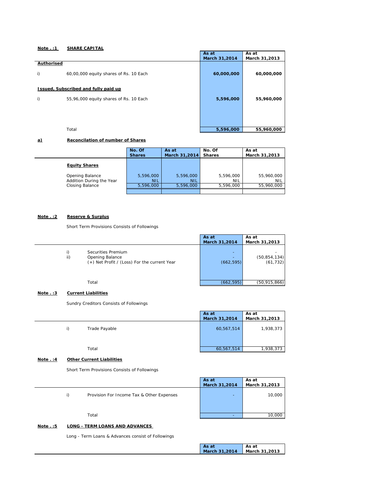| Note $. : 1$     | <b>SHARE CAPITAL</b>                        |               |               |
|------------------|---------------------------------------------|---------------|---------------|
|                  |                                             | As at         | As at         |
|                  |                                             | March 31,2014 | March 31,2013 |
| Authorised<br>i) | 60,00,000 equity shares of Rs. 10 Each      | 60,000,000    | 60,000,000    |
|                  | <b>Issued, Subscribed and fully paid up</b> |               |               |
| i)               | 55,96,000 equity shares of Rs. 10 Each      | 5,596,000     | 55,960,000    |
|                  | Total                                       | 5,596,000     | 55,960,000    |

#### **a) Reconcilation of number of Shares**

|                          | No. Of        | As at         | No. Of        | As at         |
|--------------------------|---------------|---------------|---------------|---------------|
|                          | <b>Shares</b> | March 31,2014 | <b>Shares</b> | March 31,2013 |
| <b>Equity Shares</b>     |               |               |               |               |
| Opening Balance          | 5,596,000     | 5,596,000     | 5,596,000     | 55,960,000    |
| Addition During the Year | <b>NIL</b>    | <b>NIL</b>    | NIL           | NIL           |
| Closing Balance          | 5.596.000     | 5.596.000     | 5.596.000     | 55.960.000    |

#### **Note . :2 Reserve & Surplus**

Short Term Provisions Consists of Followings

|           |                                                                                       | As at                | As at                       |
|-----------|---------------------------------------------------------------------------------------|----------------------|-----------------------------|
|           |                                                                                       | March 31,2014        | March 31,2013               |
| i)<br>ii) | Securities Premium<br>Opening Balance<br>(+) Net Profit / (Loss) For the current Year | ۰<br>۰<br>(662, 595) | (50, 854, 134)<br>(61, 732) |
|           | Total                                                                                 | (662, 595)           | (50,915,866)                |

#### **Note . :3 Current Liabilities**

Sundry Creditors Consists of Followings

|                     | As at         | As at         |
|---------------------|---------------|---------------|
|                     | March 31,2014 | March 31,2013 |
| Trade Payable<br>i) | 60,567,514    | 1,938,373     |
| Total               | 60,567,514    | 1,938,373     |

#### **Note . :4 Other Current Liabilities**

Short Term Provisions Consists of Followings

|                                                 | As at         | As at         |
|-------------------------------------------------|---------------|---------------|
|                                                 | March 31,2014 | March 31,2013 |
| Provision For Income Tax & Other Expenses<br>i) | ۰             | 10,000        |
|                                                 |               |               |
| Total                                           | -             | 10,000        |
|                                                 |               |               |

#### **Note . :5 LONG - TERM LOANS AND ADVANCES**

Long - Term Loans & Advances consist of Followings

| As at         | As at         |
|---------------|---------------|
| March 31,2014 | March 31,2013 |
|               |               |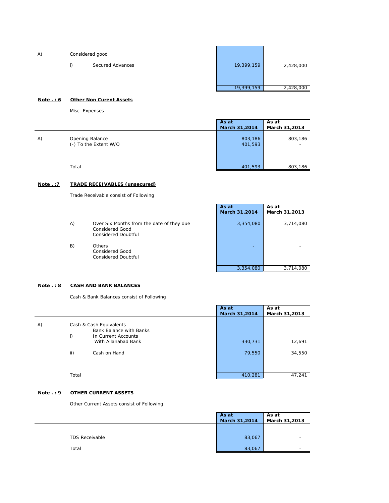| 19,399,159<br>Secured Advances |           |
|--------------------------------|-----------|
|                                | 2,428,000 |
|                                |           |
| 19,399,159                     | 2,428,000 |

#### **Note . : 6 Other Non Curent Assets**

Misc. Expenses

|    |                                          | As at              | As at         |
|----|------------------------------------------|--------------------|---------------|
|    |                                          | March 31,2014      | March 31,2013 |
| A) | Opening Balance<br>(-) To the Extent W/O | 803,186<br>401,593 | 803,186<br>-  |
|    | Total                                    | 401,593            | 803,186       |

#### **Note . :7 TRADE RECEIVABLES (unsecured)**

 $\overline{a}$ 

Trade Receivable consist of Following

| 3,354,080 |           |
|-----------|-----------|
| -         | 3,714,080 |
|           | 3,714,080 |
|           | 3,354,080 |

#### **Note . : 8 CASH AND BANK BALANCES**

Cash & Bank Balances consist of Following

|    |           |                                                                                                                         | As at<br>March 31,2014 | As at<br>March 31,2013 |
|----|-----------|-------------------------------------------------------------------------------------------------------------------------|------------------------|------------------------|
| A) | i)<br>ii) | Cash & Cash Equivalents<br><b>Bank Balance with Banks</b><br>In Current Accounts<br>With Allahabad Bank<br>Cash on Hand | 330,731<br>79,550      | 12,691<br>34,550       |
|    | Total     |                                                                                                                         | 410,281                | 47,241                 |

#### **Note . : 9 OTHER CURRENT ASSETS**

Other Current Assets consist of Following

|                       | As at<br>March 31,2014 | As at<br>March 31,2013 |
|-----------------------|------------------------|------------------------|
| <b>TDS Receivable</b> | 83,067                 | -                      |
| Total                 | 83,067                 |                        |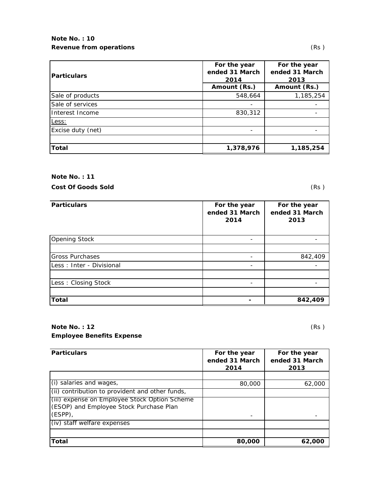# **Note No. : 10 Revenue from operations** (Rs)

| <b>Particulars</b> | For the year<br>ended 31 March<br>2014 | For the year<br>ended 31 March<br>2013 |  |
|--------------------|----------------------------------------|----------------------------------------|--|
|                    | Amount (Rs.)                           | Amount (Rs.)                           |  |
| Sale of products   | 548,664                                | 1,185,254                              |  |
| Sale of services   |                                        |                                        |  |
| Interest Income    | 830,312                                |                                        |  |
| Less:              |                                        |                                        |  |
| Excise duty (net)  |                                        |                                        |  |
|                    |                                        |                                        |  |
| <b>Total</b>       | 1,378,976                              | 1,185,254                              |  |

**Note No. : 11**

**Cost Of Goods Sold** (Rs )

| <b>Particulars</b>        | For the year<br>ended 31 March<br>2014 | For the year<br>ended 31 March<br>2013 |
|---------------------------|----------------------------------------|----------------------------------------|
| <b>Opening Stock</b>      |                                        |                                        |
|                           |                                        |                                        |
| <b>Gross Purchases</b>    |                                        | 842,409                                |
| Less : Inter - Divisional |                                        |                                        |
|                           |                                        |                                        |
| Less: Closing Stock       |                                        |                                        |
|                           |                                        |                                        |
| <b>Total</b>              |                                        | 842,409                                |

# **Note No. : 12** (Rs ) **Employee Benefits Expense**

| <b>Particulars</b>                                                                                  | For the year<br>ended 31 March<br>2014 | For the year<br>ended 31 March<br>2013 |
|-----------------------------------------------------------------------------------------------------|----------------------------------------|----------------------------------------|
|                                                                                                     |                                        |                                        |
| $(i)$ salaries and wages,                                                                           | 80,000                                 | 62,000                                 |
| (ii) contribution to provident and other funds,                                                     |                                        |                                        |
| (iii) expense on Employee Stock Option Scheme<br>(ESOP) and Employee Stock Purchase Plan<br>(ESPP), |                                        |                                        |
| (iv) staff welfare expenses                                                                         |                                        |                                        |
|                                                                                                     |                                        |                                        |
| Total                                                                                               | 80,000                                 | 62,000                                 |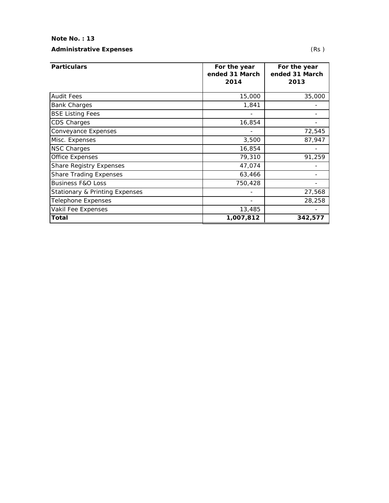#### **Note No. : 13**

**Particulars** 

Audit Fees Bank Charges **BSE Listing Fees** CDS Charges

#### **Administrative Expenses** (Rs )

Conveyance Expenses

| For the year<br>ended 31 March<br>2014 | For the year<br>ended 31 March<br>2013 |
|----------------------------------------|----------------------------------------|
| 15,000                                 | 35,000                                 |
| 1,841                                  |                                        |
|                                        |                                        |
| 16,854                                 |                                        |
|                                        | 72,545                                 |

Misc. Expenses 3,500 87,947 NSC Charges **16,854** - 16,854 - 16,854 - 16,854 - 16,854 - 16,854 - 16,854 - 16,854 - 16,854 - 16,854 - 16,854 - 16,854 - 16,854 - 16,854 - 16,854 - 16,854 - 16,854 - 16,854 - 16,854 - 16,854 - 16,854 - 16,854 - 16,854 - 1 Office Expenses 29,310 91,259 Share Registry Expenses and the state of the 47,074  $\vert$ Share Trading Expenses 63,466 - 63,466 - 63,466 - 63,466 - 63,466 - 63,466 - 63,466 - 63,466 - 63,466 - 63,466 - 63,466 - 63,466 - 63,466 - 63,466 - 63,466 - 63,466 - 63,466 - 63,466 - 63,466 - 63,466 - 63,466 - 63,466 - 6 Business F&O Loss 2008 2009 12:00 12:00 12:00 12:00 12:00 12:00 12:00 12:00 12:00 12:00 12:00 12:00 12:00 12:0 Stationary & Printing Expenses and the contract of the contract of the 27,568 Telephone Expenses and the contract of the contract of the contract of the contract of the contract of the contract of the contract of the contract of the contract of the contract of the contract of the contract of the con Vakil Fee Expenses and the set of the 13,485  $\vert$  13,485  $\vert$  . **Total 1,007,812 342,577**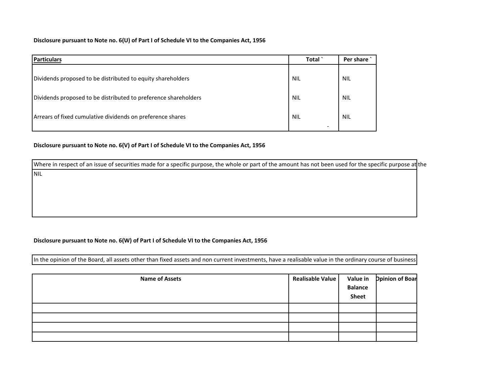**Disclosure pursuant to Note no. 6(U) of Part I of Schedule VI to the Companies Act, 1956**

| <b>Particulars</b>                                              | Total                                  | Per share  |
|-----------------------------------------------------------------|----------------------------------------|------------|
| Dividends proposed to be distributed to equity shareholders     | <b>NIL</b>                             | <b>NIL</b> |
| Dividends proposed to be distributed to preference shareholders | NIL                                    | <b>NIL</b> |
| Arrears of fixed cumulative dividends on preference shares      | <b>NIL</b><br>$\overline{\phantom{a}}$ | <b>NIL</b> |

**Disclosure pursuant to Note no. 6(V) of Part I of Schedule VI to the Companies Act, 1956**

NILWhere in respect of an issue of securities made for a specific purpose, the whole or part of the amount has not been used for the specific purpose at the

#### **Disclosure pursuant to Note no. 6(W) of Part I of Schedule VI to the Companies Act, 1956**

In the opinion of the Board, all assets other than fixed assets and non current investments, have <sup>a</sup> realisable value in the ordinary course of business

| <b>Name of Assets</b> | Realisable Value | <b>Balance</b><br><b>Sheet</b> | Value in ppinion of Boar |
|-----------------------|------------------|--------------------------------|--------------------------|
|                       |                  |                                |                          |
|                       |                  |                                |                          |
|                       |                  |                                |                          |
|                       |                  |                                |                          |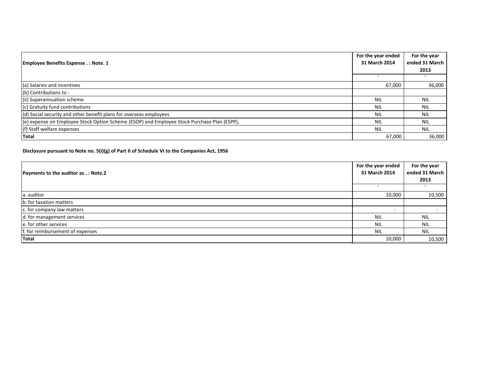| For the year ended<br><b>Employee Benefits Expense .: Note. 1</b>                           |            | For the year   |
|---------------------------------------------------------------------------------------------|------------|----------------|
|                                                                                             |            | ended 31 March |
|                                                                                             |            | 2013           |
|                                                                                             |            |                |
| (a) Salaries and incentives                                                                 | 67,000     | 36,000         |
| (b) Contributions to -                                                                      |            |                |
| (ii) Superannuation scheme                                                                  | NIL        | NIL.           |
| (c) Gratuity fund contributions                                                             | <b>NIL</b> | <b>NIL</b>     |
| (d) Social security and other benefit plans for overseas employees                          | <b>NIL</b> | <b>NIL</b>     |
| (e) expense on Employee Stock Option Scheme (ESOP) and Employee Stock Purchase Plan (ESPP), | <b>NIL</b> | <b>NIL</b>     |
| (f) Staff welfare expenses                                                                  | <b>NIL</b> | <b>NIL</b>     |
| Total                                                                                       | 67,000     | 36,000         |

#### **Disclosure pursuant to Note no. 5(i)(g) of Part II of Schedule VI to the Companies Act, 1956**

|                                      |               | For the year   |
|--------------------------------------|---------------|----------------|
| Payments to the auditor as .: Note.2 | 31 March 2014 | ended 31 March |
|                                      |               | 2013           |
|                                      |               |                |
| a. auditor                           | 10,000        | 10,500         |
| b. for taxation matters              |               |                |
| c. for company law matters           |               |                |
| d. for management services           | <b>NIL</b>    | <b>NIL</b>     |
| e. for other services                | <b>NIL</b>    | <b>NIL</b>     |
| f. for reimbursement of expenses     | <b>NIL</b>    | <b>NIL</b>     |
| Total                                | 10,000        | 10,500         |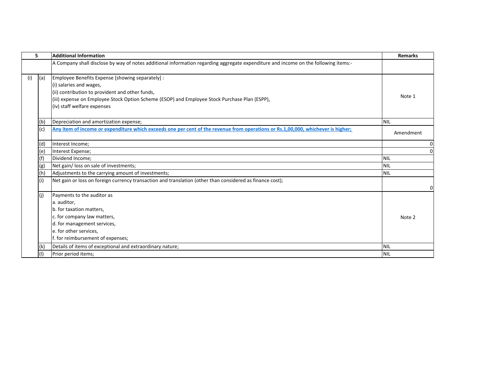| 5.  | <b>Additional Information</b>                                                                                                       | <b>Remarks</b> |
|-----|-------------------------------------------------------------------------------------------------------------------------------------|----------------|
|     | A Company shall disclose by way of notes additional information regarding aggregate expenditure and income on the following items:- |                |
|     |                                                                                                                                     |                |
| (a) | Employee Benefits Expense [showing separately] :                                                                                    |                |
|     | (i) salaries and wages,                                                                                                             |                |
|     | (ii) contribution to provident and other funds,                                                                                     | Note 1         |
|     | (iii) expense on Employee Stock Option Scheme (ESOP) and Employee Stock Purchase Plan (ESPP),                                       |                |
|     | (iv) staff welfare expenses                                                                                                         |                |
| (b) | Depreciation and amortization expense;                                                                                              | <b>NIL</b>     |
| (c) | Any item of income or expenditure which exceeds one per cent of the revenue from operations or Rs.1,00,000, whichever is higher;    | Amendment      |
| (d) | Interest Income;                                                                                                                    |                |
| (e) | Interest Expense;                                                                                                                   |                |
|     | Dividend Income;                                                                                                                    | <b>NIL</b>     |
| (g) | Net gain/ loss on sale of investments;                                                                                              | <b>NIL</b>     |
| (h) | Adjustments to the carrying amount of investments;                                                                                  | <b>NIL</b>     |
|     | Net gain or loss on foreign currency transaction and translation (other than considered as finance cost);                           |                |
| (i) | Payments to the auditor as                                                                                                          |                |
|     | a. auditor,                                                                                                                         |                |
|     | b. for taxation matters,                                                                                                            |                |
|     | c. for company law matters,                                                                                                         | Note 2         |
|     | d. for management services,                                                                                                         |                |
|     | e. for other services,                                                                                                              |                |
|     | f. for reimbursement of expenses;                                                                                                   |                |
| (k  | Details of items of exceptional and extraordinary nature;                                                                           | <b>NIL</b>     |
|     | Prior period items;                                                                                                                 | <b>NIL</b>     |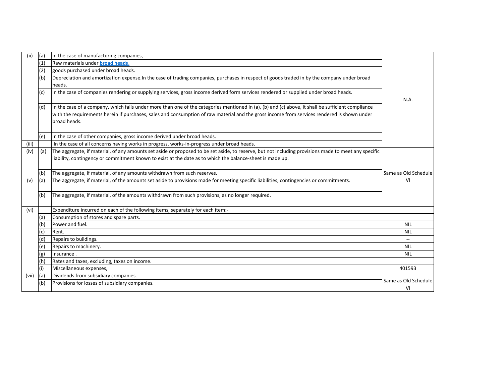| (ii)  | (a) | In the case of manufacturing companies,-                                                                                                                                                                                                                                                                          |                      |
|-------|-----|-------------------------------------------------------------------------------------------------------------------------------------------------------------------------------------------------------------------------------------------------------------------------------------------------------------------|----------------------|
|       | (1) | Raw materials under <b>broad heads</b> .                                                                                                                                                                                                                                                                          |                      |
|       | (2) | goods purchased under broad heads.                                                                                                                                                                                                                                                                                |                      |
|       | (b) | Depreciation and amortization expense.In the case of trading companies, purchases in respect of goods traded in by the company under broad                                                                                                                                                                        |                      |
|       |     | heads.                                                                                                                                                                                                                                                                                                            |                      |
|       | (c) | In the case of companies rendering or supplying services, gross income derived form services rendered or supplied under broad heads.                                                                                                                                                                              | N.A.                 |
|       | (d) | In the case of a company, which falls under more than one of the categories mentioned in (a), (b) and (c) above, it shall be sufficient compliance<br>with the requirements herein if purchases, sales and consumption of raw material and the gross income from services rendered is shown under<br>broad heads. |                      |
|       | (e) | In the case of other companies, gross income derived under broad heads.                                                                                                                                                                                                                                           |                      |
| (iii) |     | In the case of all concerns having works in progress, works-in-progress under broad heads.                                                                                                                                                                                                                        |                      |
| (iv)  | (a) | The aggregate, if material, of any amounts set aside or proposed to be set aside, to reserve, but not including provisions made to meet any specific                                                                                                                                                              |                      |
|       |     | liability, contingency or commitment known to exist at the date as to which the balance-sheet is made up.                                                                                                                                                                                                         |                      |
|       |     |                                                                                                                                                                                                                                                                                                                   |                      |
|       | (b) | The aggregate, if material, of any amounts withdrawn from such reserves.                                                                                                                                                                                                                                          | Same as Old Schedule |
| (v)   | (a) | The aggregate, if material, of the amounts set aside to provisions made for meeting specific liabilities, contingencies or commitments.                                                                                                                                                                           | VI                   |
|       | (b) | The aggregate, if material, of the amounts withdrawn from such provisions, as no longer required.                                                                                                                                                                                                                 |                      |
| (vi)  |     | Expenditure incurred on each of the following items, separately for each item:-                                                                                                                                                                                                                                   |                      |
|       | (a) | Consumption of stores and spare parts.                                                                                                                                                                                                                                                                            |                      |
|       | (b) | Power and fuel.                                                                                                                                                                                                                                                                                                   | <b>NIL</b>           |
|       | (c) | Rent.                                                                                                                                                                                                                                                                                                             | <b>NIL</b>           |
|       | (d) | Repairs to buildings.                                                                                                                                                                                                                                                                                             | $- -$                |
|       | (e) | Repairs to machinery.                                                                                                                                                                                                                                                                                             | <b>NIL</b>           |
|       | (g) | Insurance.                                                                                                                                                                                                                                                                                                        | <b>NIL</b>           |
|       | (h) | Rates and taxes, excluding, taxes on income.                                                                                                                                                                                                                                                                      |                      |
|       | (i) | Miscellaneous expenses,                                                                                                                                                                                                                                                                                           | 401593               |
| (vii) | (a) | Dividends from subsidiary companies.                                                                                                                                                                                                                                                                              | Same as Old Schedule |
|       | (b) | Provisions for losses of subsidiary companies.                                                                                                                                                                                                                                                                    | VI                   |
|       |     |                                                                                                                                                                                                                                                                                                                   |                      |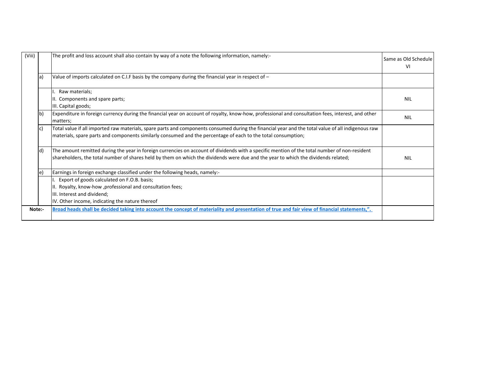| (Viii) |     | The profit and loss account shall also contain by way of a note the following information, namely:-                                                                                                                                                                 | Same as Old Schedule<br>VI |
|--------|-----|---------------------------------------------------------------------------------------------------------------------------------------------------------------------------------------------------------------------------------------------------------------------|----------------------------|
|        | a)  | Value of imports calculated on C.I.F basis by the company during the financial year in respect of $-$                                                                                                                                                               |                            |
|        |     | Raw materials;                                                                                                                                                                                                                                                      |                            |
|        |     | II. Components and spare parts;                                                                                                                                                                                                                                     | <b>NIL</b>                 |
|        |     | III. Capital goods;                                                                                                                                                                                                                                                 |                            |
|        | lb) | Expenditure in foreign currency during the financial year on account of royalty, know-how, professional and consultation fees, interest, and other<br>matters;                                                                                                      | <b>NIL</b>                 |
|        | C   | Total value if all imported raw materials, spare parts and components consumed during the financial year and the total value of all indigenous raw<br>materials, spare parts and components similarly consumed and the percentage of each to the total consumption; |                            |
|        | ld) | The amount remitted during the year in foreign currencies on account of dividends with a specific mention of the total number of non-resident                                                                                                                       |                            |
|        |     | shareholders, the total number of shares held by them on which the dividends were due and the year to which the dividends related;                                                                                                                                  | <b>NIL</b>                 |
|        | e.  | Earnings in foreign exchange classified under the following heads, namely:-                                                                                                                                                                                         |                            |
|        |     | Export of goods calculated on F.O.B. basis;                                                                                                                                                                                                                         |                            |
|        |     | II. Royalty, know-how, professional and consultation fees;                                                                                                                                                                                                          |                            |
|        |     | III. Interest and dividend;                                                                                                                                                                                                                                         |                            |
|        |     | IV. Other income, indicating the nature thereof                                                                                                                                                                                                                     |                            |
| Note:- |     | Broad heads shall be decided taking into account the concept of materiality and presentation of true and fair view of financial statements,".                                                                                                                       |                            |
|        |     |                                                                                                                                                                                                                                                                     |                            |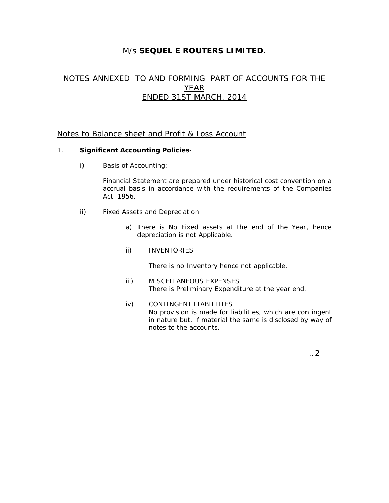# M/s **SEQUEL E ROUTERS LIMITED.**

# NOTES ANNEXED TO AND FORMING PART OF ACCOUNTS FOR THE YEAR ENDED 31ST MARCH, 2014

### Notes to Balance sheet and Profit & Loss Account

#### 1. **Significant Accounting Policies**-

i) Basis of Accounting:

Financial Statement are prepared under historical cost convention on a accrual basis in accordance with the requirements of the Companies Act. 1956.

- ii) Fixed Assets and Depreciation
	- a) There is No Fixed assets at the end of the Year, hence depreciation is not Applicable.
	- ii) INVENTORIES

There is no Inventory hence not applicable.

- iii) MISCELLANEOUS EXPENSES There is Preliminary Expenditure at the year end.
- iv) CONTINGENT LIABILITIES No provision is made for liabilities, which are contingent in nature but, if material the same is disclosed by way of notes to the accounts.

…2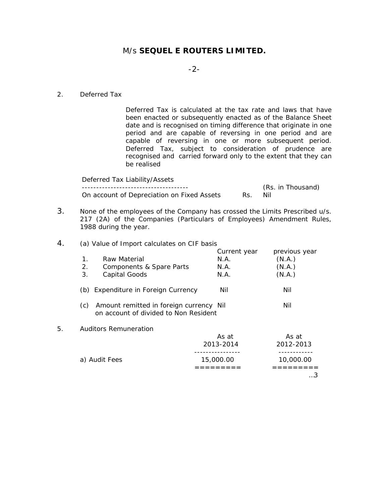# M/s **SEQUEL E ROUTERS LIMITED.**

#### -2-

#### 2. Deferred Tax

Deferred Tax is calculated at the tax rate and laws that have been enacted or subsequently enacted as of the Balance Sheet date and is recognised on timing difference that originate in one period and are capable of reversing in one period and are capable of reversing in one or more subsequent period. Deferred Tax, subject to consideration of prudence are recognised and carried forward only to the extent that they can be realised

| Deferred Tax Liability/Assets              |     |                   |
|--------------------------------------------|-----|-------------------|
|                                            |     | (Rs. in Thousand) |
| On account of Depreciation on Fixed Assets | Rs. | Nil               |

- 3. None of the employees of the Company has crossed the Limits Prescribed u/s. 217 (2A) of the Companies (Particulars of Employees) Amendment Rules, 1988 during the year.
- 4. (a) Value of Import calculates on CIF basis

|    |                                                                                         | Current year | previous year |
|----|-----------------------------------------------------------------------------------------|--------------|---------------|
|    | 1 <sub>1</sub><br>Raw Material                                                          | N.A.         | (N.A.)        |
|    | 2.<br>Components & Spare Parts                                                          | N.A.         | (N.A.)        |
|    | 3.<br>Capital Goods                                                                     | N.A.         | (N.A.)        |
|    | (b) Expenditure in Foreign Currency                                                     | Nil          | Nil           |
|    | (c)<br>Amount remitted in foreign currency Nil<br>on account of divided to Non Resident |              | Nil           |
| 5. | Auditors Remuneration                                                                   |              |               |
|    |                                                                                         | As at        | As at         |
|    |                                                                                         | 2013-2014    | 2012-2013     |
|    |                                                                                         |              | ---------     |
|    | a) Audit Fees                                                                           | 15,000.00    | 10,000.00     |
|    |                                                                                         |              |               |
|    |                                                                                         |              | . 3           |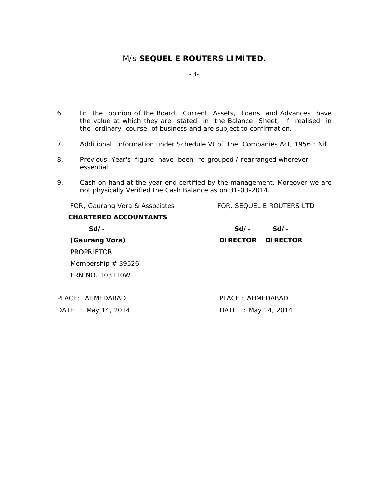# M/s **SEQUEL E ROUTERS LIMITED.**

-3-

- 6. In the opinion of the Board, Current Assets, Loans and Advances have the value at which they are stated in the Balance Sheet, if realised in the ordinary course of business and are subject to confirmation.
- 7. Additional Information under Schedule VI of the Companies Act, 1956 : Nil
- 8. Previous Year's figure have been re-grouped / rearranged wherever essential.
- 9. Cash on hand at the year end certified by the management. Moreover we are not physically Verified the Cash Balance as on 31-03-2014.

| FOR, Gaurang Vora & Associates | FOR, SEQUEL E ROUTERS LTD |
|--------------------------------|---------------------------|
| <b>CHARTERED ACCOUNTANTS</b>   |                           |
| $Sd/-$                         | $Sd/-$<br>$Sd/-$          |
| (Gaurang Vora)                 | DIRECTOR DIRECTOR         |
| <b>PROPRIETOR</b>              |                           |
| Membership $# 39526$           |                           |
| FRN NO. 103110W                |                           |
|                                |                           |
| PLACE: AHMEDABAD               | PLACE: AHMEDABAD          |
| DATE : May 14, 2014            | DATE : May 14, 2014       |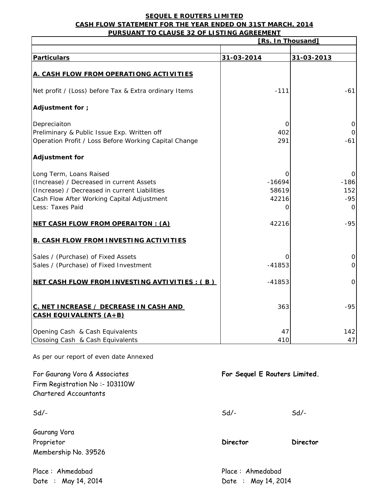#### **SEQUEL E ROUTERS LIMITED CASH FLOW STATEMENT FOR THE YEAR ENDED ON 31ST MARCH, 2014 PURSUANT TO CLAUSE 32 OF LISTING AGREEMENT**

|                                                                                                                                                                                        | [Rs. In Thousand]                    |                             |  |  |
|----------------------------------------------------------------------------------------------------------------------------------------------------------------------------------------|--------------------------------------|-----------------------------|--|--|
| <b>Particulars</b>                                                                                                                                                                     | 31-03-2014                           | 31-03-2013                  |  |  |
| A. CASH FLOW FROM OPERATIONG ACTIVITIES                                                                                                                                                |                                      |                             |  |  |
| Net profit / (Loss) before Tax & Extra ordinary Items                                                                                                                                  | $-111$                               | $-61$                       |  |  |
| Adjustment for ;                                                                                                                                                                       |                                      |                             |  |  |
| Depreciaiton<br>Preliminary & Public Issue Exp. Written off<br>Operation Profit / Loss Before Working Capital Change                                                                   | 0<br>402<br>291                      | $-61$                       |  |  |
| <b>Adjustment for</b>                                                                                                                                                                  |                                      |                             |  |  |
| Long Term, Loans Raised<br>(Increase) / Decreased in current Assets<br>(Increase) / Decreased in current Liabilities<br>Cash Flow After Working Capital Adjustment<br>Less: Taxes Paid | 0<br>$-16694$<br>58619<br>42216<br>0 | $-186$<br>152<br>$-95$<br>0 |  |  |
| <b>NET CASH FLOW FROM OPERAITON : (A)</b>                                                                                                                                              | 42216                                | $-95$                       |  |  |
| <b>B. CASH FLOW FROM INVESTING ACTIVITIES</b>                                                                                                                                          |                                      |                             |  |  |
| Sales / (Purchase) of Fixed Assets<br>Sales / (Purchase) of Fixed Investment                                                                                                           | ∩<br>$-41853$                        | 0                           |  |  |
| NET CASH FLOW FROM INVESTING AVTIVITIES : (B)                                                                                                                                          | $-41853$                             | $\Omega$                    |  |  |
| C. NET INCREASE / DECREASE IN CASH AND<br><b>CASH EQUIVALENTS (A+B)</b>                                                                                                                | 363                                  | $-95$                       |  |  |
| Opening Cash & Cash Equivalents<br>Closoing Cash & Cash Equivalents                                                                                                                    | 47<br>410                            | 142<br>47                   |  |  |

As per our report of even date Annexed

| For Gaurang Vora & Associates<br>Firm Registration No:- 103110W<br>Chartered Accountants | For Sequel E Routers Limited.           |          |  |
|------------------------------------------------------------------------------------------|-----------------------------------------|----------|--|
| $Sd$ -                                                                                   | $Sd$ -                                  | $Sd$ /-  |  |
| Gaurang Vora<br>Proprietor<br>Membership No. 39526                                       | <b>Director</b>                         | Director |  |
| Place: Ahmedabad<br>Date : May 14, 2014                                                  | Place: Ahmedabad<br>Date : May 14, 2014 |          |  |